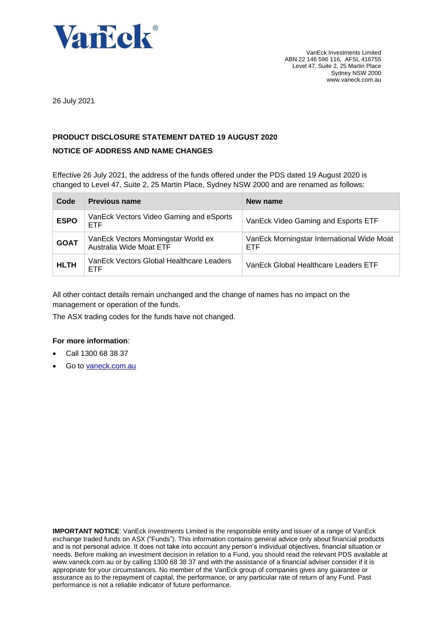

26 July 2021

# **PRODUCT DISCLOSURE STATEMENT DATED 19 AUGUST 2020**

# **NOTICE OF ADDRESS AND NAME CHANGES**

Effective 26 July 2021, the address of the funds offered under the PDS dated 19 August 2020 is changed to Level 47, Suite 2, 25 Martin Place, Sydney NSW 2000 and are renamed as follows:

| Code        | <b>Previous name</b>                                           | New name                                                 |
|-------------|----------------------------------------------------------------|----------------------------------------------------------|
| <b>ESPO</b> | VanEck Vectors Video Gaming and eSports<br><b>ETF</b>          | VanEck Video Gaming and Esports ETF                      |
| <b>GOAT</b> | VanEck Vectors Morningstar World ex<br>Australia Wide Moat ETF | VanEck Morningstar International Wide Moat<br><b>ETF</b> |
| <b>HLTH</b> | VanEck Vectors Global Healthcare Leaders<br>ETF                | VanEck Global Healthcare Leaders ETF                     |

All other contact details remain unchanged and the change of names has no impact on the management or operation of the funds.

The ASX trading codes for the funds have not changed.

# **For more information**:

- Call 1300 68 38 37
- Go to [vaneck.com.au](http://www.marketvectors-australia.com/)

**IMPORTANT NOTICE:** VanEck Investments Limited is the responsible entity and issuer of a range of VanEck exchange traded funds on ASX ("Funds"). This information contains general advice only about financial products and is not personal advice. It does not take into account any person's individual objectives, financial situation or needs. Before making an investment decision in relation to a Fund, you should read the relevant PDS available at [www.vaneck.com.au](http://www.vaneck.com.au/) or by calling 1300 68 38 37 and with the assistance of a financial adviser consider if it is appropriate for your circumstances. No member of the VanEck group of companies gives any guarantee or assurance as to the repayment of capital, the performance, or any particular rate of return of any Fund. Past performance is not a reliable indicator of future performance.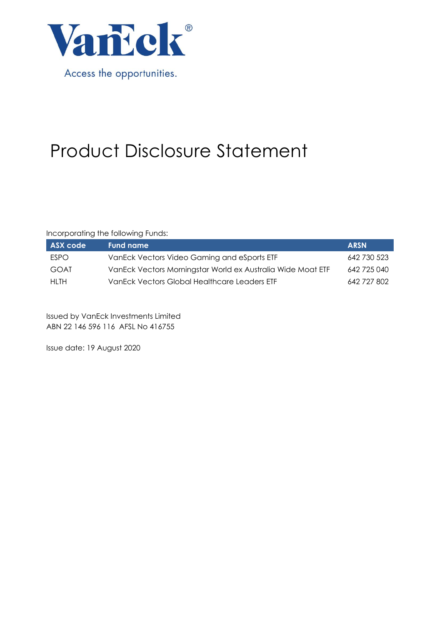

# Product Disclosure Statement

Incorporating the following Funds:

| ASX code    | Fund name                                                   | <b>ARSN</b> |
|-------------|-------------------------------------------------------------|-------------|
| <b>FSPO</b> | VanEck Vectors Video Gaming and eSports ETF                 | 642 730 523 |
| GOAT        | VanEck Vectors Morningstar World ex Australia Wide Moat ETF | 642 725 040 |
| HI TH       | VanEck Vectors Global Healthcare Leaders ETF                | 642 727 802 |

Issued by VanEck Investments Limited ABN 22 146 596 116 AFSL No 416755

Issue date: 19 August 2020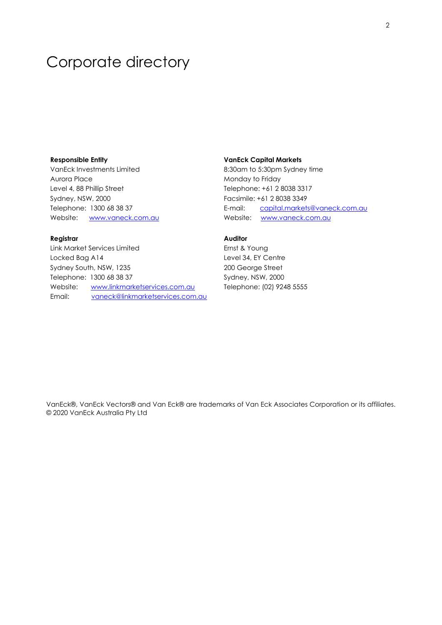# Corporate directory

## **Responsible Entity**

VanEck Investments Limited Aurora Place Level 4, 88 Phillip Street Sydney, NSW, 2000 Telephone: 1300 68 38 37 Website: [www.vaneck.com.au](http://www.vaneck.com.au/)

# **Registrar**

Link Market Services Limited Locked Bag A14 Sydney South, NSW, 1235 Telephone: 1300 68 38 37 Website: [www.linkmarketservices.com.au](http://www.linkmarketservices.com.au/) Email: [vaneck@linkmarketservices.com.au](mailto:vaneck@linkmarketservices.com.au)

## **VanEck Capital Markets**

8:30am to 5:30pm Sydney time Monday to Friday Telephone: +61 2 8038 3317 Facsimile: +61 2 8038 3349 E-mail: [capital.markets@vaneck.com.au](mailto:capital.markets@vaneck.com.au)  Website: www.vaneck.com.au

# **Auditor**

Ernst & Young Level 34, EY Centre 200 George Street Sydney, NSW, 2000 Telephone: (02) 9248 5555

VanEck®, VanEck Vectors® and Van Eck® are trademarks of Van Eck Associates Corporation or its affiliates. © 2020 VanEck Australia Pty Ltd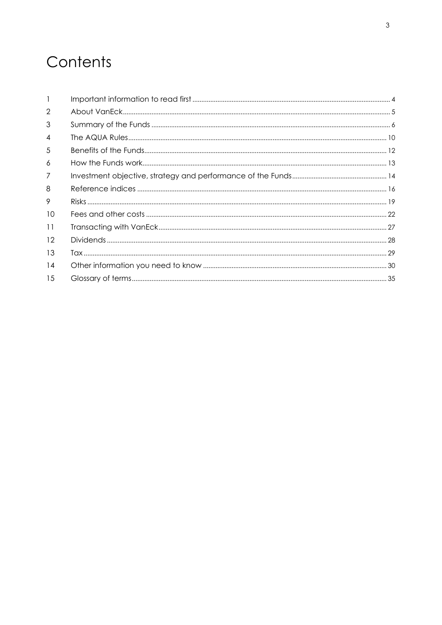# Contents

| $\mathbf{1}$   |  |
|----------------|--|
| 2              |  |
| 3              |  |
| 4              |  |
| 5              |  |
| 6              |  |
| $\overline{7}$ |  |
| 8              |  |
| 9              |  |
| 10             |  |
| 11             |  |
| 12             |  |
| 13             |  |
| 14             |  |
| 15             |  |
|                |  |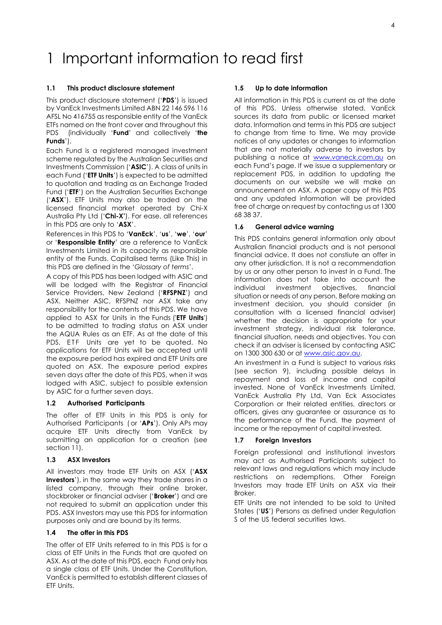# <span id="page-4-0"></span>1 Important information to read first

## **1.1 This product disclosure statement**

This product disclosure statement ('**PDS**') is issued by VanEck Investments Limited ABN 22 146 596 116 AFSL No 416755 as responsible entity of the VanEck ETFs named on the front cover and throughout this PDS (individually '**Fund**' and collectively '**the Funds**').

Each Fund is a registered managed investment scheme regulated by the Australian Securities and Investments Commission ('**ASIC**'). A class of units in each Fund ('**ETF Units**') is expected to be admitted to quotation and trading as an Exchange Traded Fund ('**ETF**') on the Australian Securities Exchange ('**ASX**'). ETF Units may also be traded on the licensed financial market operated by Chi-X Australia Pty Ltd ('**Chi-X'**). For ease, all references in this PDS are only to '**ASX**'.

References in this PDS to '**VanEck**', '**us**', '**we**', '**our**' or '**Responsible Entity**' are a reference to VanEck Investments Limited in its capacity as responsible entity of the Funds. Capitalised terms (Like This) in this PDS are defined in the '*Glossary of terms*'.

A copy of this PDS has been lodged with ASIC and will be lodged with the Registrar of Financial Service Providers, New Zealand ('**RFSPNZ**') and ASX. Neither ASIC, RFSPNZ nor ASX take any responsibility for the contents of this PDS. We have applied to ASX for Units in the Funds ('**ETF Units**') to be admitted to trading status on ASX under the AQUA Rules as an ETF. As at the date of this PDS, ETF Units are yet to be quoted. No applications for ETF Units will be accepted until the exposure period has expired and ETF Units are quoted on ASX. The exposure period expires seven days after the date of this PDS, when it was lodged with ASIC, subject to possible extension by ASIC for a further seven days.

## **1.2 Authorised Participants**

The offer of ETF Units in this PDS is only for Authorised Participants ( or '**APs**'). Only APs may acquire ETF Units directly from VanEck by submitting an application for a creation (see section 11).

## **1.3 ASX Investors**

All investors may trade ETF Units on ASX ('**ASX Investors**'), in the same way they trade shares in a listed company, through their online broker, stockbroker or financial adviser ('**Broker**') and are not required to submit an application under this PDS. ASX Investors may use this PDS for information purposes only and are bound by its terms.

# **1.4 The offer in this PDS**

The offer of ETF Units referred to in this PDS is for a class of ETF Units in the Funds that are quoted on ASX. As at the date of this PDS, each Fund only has a single class of ETF Units. Under the Constitution, VanEck is permitted to establish different classes of ETF Units.

## **1.5 Up to date information**

All information in this PDS is current as at the date of this PDS. Unless otherwise stated, VanEck sources its data from public or licensed market data. Information and terms in this PDS are subject to change from time to time. We may provide notices of any updates or changes to information that are not materially adverse to investors by publishing a notice at [www.vaneck.com.au](http://www.vaneck.com.au/) on each Fund's page. If we issue a supplementary or replacement PDS, in addition to updating the documents on our website we will make an announcement on ASX. A paper copy of this PDS and any updated information will be provided free of charge on request by contacting us at 1300 68 38 37.

## **1.6 General advice warning**

This PDS contains general information only about Australian financial products and is not personal financial advice. It does not constiute an offer in any other jurisdiction. It is not a recommendation by us or any other person to invest in a Fund. The information does not take into account the individual investment objectives, financial situation or needs of any person. Before making an investment decision, you should consider (in consultation with a licensed financial adviser) whether the decision is appropriate for your investment strategy, individual risk tolerance, financial situation, needs and objectives. You can check if an adviser is licensed by contacting ASIC on 1300 300 630 or a[t www.asic.gov.au.](http://www.asic.gov.au/)

An investment in a Fund is subject to various risks (see section 9), including possible delays in repayment and loss of income and capital invested. None of VanEck Investments Limited, VanEck Australia Pty Ltd, Van Eck Associates Corporation or their related entities, directors or officers, gives any guarantee or assurance as to the performance of the Fund, the payment of income or the repayment of capital invested.

## **1.7 Foreign Investors**

Foreign professional and institutional investors may act as Authorised Participants subject to relevant laws and regulations which may include restrictions on redemptions. Other Foreign Investors may trade ETF Units on ASX via their Broker.

ETF Units are not intended to be sold to United States ('**US**') Persons as defined under Regulation S of the US federal securities laws.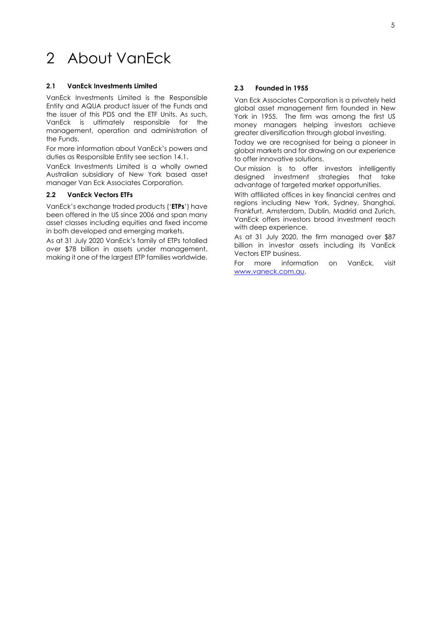# <span id="page-5-0"></span>2 About VanEck

## **2.1 VanEck Investments Limited**

VanEck Investments Limited is the Responsible Entity and AQUA product issuer of the Funds and the issuer of this PDS and the ETF Units. As such, VanEck is ultimately responsible for the management, operation and administration of the Funds.

For more information about VanEck's powers and duties as Responsible Entity see section 14.1.

VanEck Investments Limited is a wholly owned Australian subsidiary of New York based asset manager Van Eck Associates Corporation.

# **2.2 VanEck Vectors ETFs**

VanEck's exchange traded products ('**ETPs**') have been offered in the US since 2006 and span many asset classes including equities and fixed income in both developed and emerging markets.

As at 31 July 2020 VanEck's family of ETPs totalled over \$78 billion in assets under management, making it one of the largest ETP families worldwide.

## **2.3 Founded in 1955**

Van Eck Associates Corporation is a privately held global asset management firm founded in New York in 1955. The firm was among the first US money managers helping investors achieve greater diversification through global investing.

Today we are recognised for being a pioneer in global markets and for drawing on our experience to offer innovative solutions.

Our mission is to offer investors intelligently designed investment strategies that take advantage of targeted market opportunities.

With affiliated offices in key financial centres and regions including New York, Sydney, Shanghai, Frankfurt, Amsterdam, Dublin, Madrid and Zurich, VanEck offers investors broad investment reach with deep experience.

As at 31 July 2020, the firm managed over \$87 billion in investor assets including its VanEck Vectors ETP business.

For more information on VanEck, visit [www.vaneck.com.au.](http://www.vaneck.com.au/)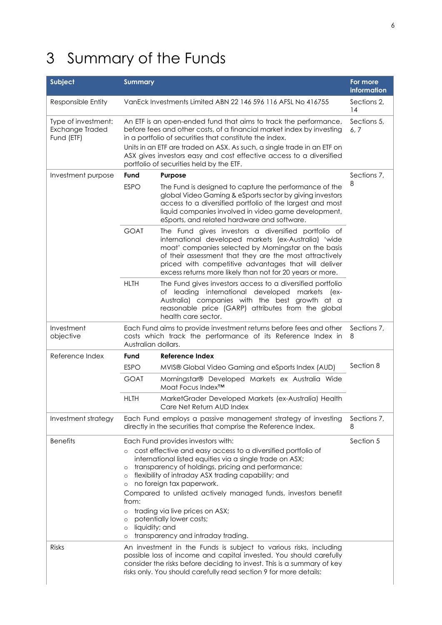# <span id="page-6-0"></span>3 Summary of the Funds

| Subject                                              | <b>Summary</b>                                                                                      |                                                                                                                                                                                                                                                                                                                                                                                                                                                                                 | For more<br>information |
|------------------------------------------------------|-----------------------------------------------------------------------------------------------------|---------------------------------------------------------------------------------------------------------------------------------------------------------------------------------------------------------------------------------------------------------------------------------------------------------------------------------------------------------------------------------------------------------------------------------------------------------------------------------|-------------------------|
| Responsible Entity                                   |                                                                                                     | VanEck Investments Limited ABN 22 146 596 116 AFSL No 416755                                                                                                                                                                                                                                                                                                                                                                                                                    | Sections 2,<br>14       |
| Type of investment:<br>Exchange Traded<br>Fund (ETF) |                                                                                                     | An ETF is an open-ended fund that aims to track the performance,<br>before fees and other costs, of a financial market index by investing<br>in a portfolio of securities that constitute the index.<br>Units in an ETF are traded on ASX. As such, a single trade in an ETF on<br>ASX gives investors easy and cost effective access to a diversified<br>portfolio of securities held by the ETF.                                                                              | Sections 5,<br>6, 7     |
| Investment purpose                                   | Fund                                                                                                | Purpose                                                                                                                                                                                                                                                                                                                                                                                                                                                                         | Sections 7,             |
|                                                      | <b>ESPO</b>                                                                                         | The Fund is designed to capture the performance of the<br>global Video Gaming & eSports sector by giving investors<br>access to a diversified portfolio of the largest and most<br>liquid companies involved in video game development,<br>eSports, and related hardware and software.                                                                                                                                                                                          | 8                       |
|                                                      | <b>GOAT</b>                                                                                         | The Fund gives investors a diversified portfolio of<br>international developed markets (ex-Australia) 'wide<br>moat' companies selected by Morningstar on the basis<br>of their assessment that they are the most attractively<br>priced with competitive advantages that will deliver<br>excess returns more likely than not for 20 years or more.                                                                                                                             |                         |
|                                                      | <b>HLTH</b>                                                                                         | The Fund gives investors access to a diversified portfolio<br>of leading international developed markets (ex-<br>Australia) companies with the best growth at a<br>reasonable price (GARP) attributes from the global<br>health care sector.                                                                                                                                                                                                                                    |                         |
| Investment<br>objective                              | Australian dollars.                                                                                 | Each Fund aims to provide investment returns before fees and other<br>costs which track the performance of its Reference Index in                                                                                                                                                                                                                                                                                                                                               | Sections 7,<br>8        |
| Reference Index                                      | Fund                                                                                                | <b>Reference Index</b>                                                                                                                                                                                                                                                                                                                                                                                                                                                          |                         |
|                                                      | <b>ESPO</b>                                                                                         | MVIS® Global Video Gaming and eSports Index (AUD)                                                                                                                                                                                                                                                                                                                                                                                                                               | Section 8               |
|                                                      | <b>GOAT</b>                                                                                         | Morningstar® Developed Markets ex Australia Wide<br>Moat Focus Index™                                                                                                                                                                                                                                                                                                                                                                                                           |                         |
|                                                      | <b>HLTH</b>                                                                                         | MarketGrader Developed Markets (ex-Australia) Health<br>Care Net Return AUD Index                                                                                                                                                                                                                                                                                                                                                                                               |                         |
| Investment strategy                                  |                                                                                                     | Each Fund employs a passive management strategy of investing<br>directly in the securities that comprise the Reference Index.                                                                                                                                                                                                                                                                                                                                                   | Sections 7,<br>8        |
| <b>Benefits</b>                                      | $\circ$<br>$\circ$<br>$\circ$<br>O<br>from:<br>O<br>$\circ$<br>liquidity; and<br>$\circ$<br>$\circ$ | Each Fund provides investors with:<br>cost effective and easy access to a diversified portfolio of<br>international listed equities via a single trade on ASX;<br>transparency of holdings, pricing and performance;<br>flexibility of intraday ASX trading capability; and<br>no foreign tax paperwork.<br>Compared to unlisted actively managed funds, investors benefit<br>trading via live prices on ASX;<br>potentially lower costs;<br>transparency and intraday trading. | Section 5               |
| <b>Risks</b>                                         |                                                                                                     | An investment in the Funds is subject to various risks, including<br>possible loss of income and capital invested. You should carefully<br>consider the risks before deciding to invest. This is a summary of key<br>risks only. You should carefully read section 9 for more details:                                                                                                                                                                                          |                         |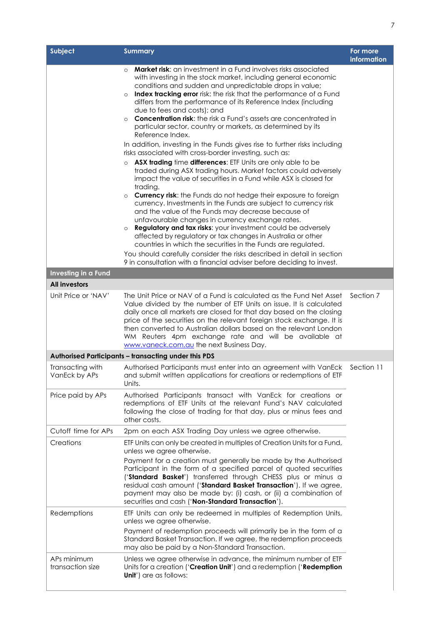| <b>Subject</b>                    | <b>Summary</b>                                                                                                                                                                                                                                                                                                                                                                                                                                                                                                                                                                                                                                                                                                                                                                                                                                                                                                                                                                                                                                                                                                                                                                                                                                                                                                                                                                                                                                                                                                                                                               | For more<br>information |
|-----------------------------------|------------------------------------------------------------------------------------------------------------------------------------------------------------------------------------------------------------------------------------------------------------------------------------------------------------------------------------------------------------------------------------------------------------------------------------------------------------------------------------------------------------------------------------------------------------------------------------------------------------------------------------------------------------------------------------------------------------------------------------------------------------------------------------------------------------------------------------------------------------------------------------------------------------------------------------------------------------------------------------------------------------------------------------------------------------------------------------------------------------------------------------------------------------------------------------------------------------------------------------------------------------------------------------------------------------------------------------------------------------------------------------------------------------------------------------------------------------------------------------------------------------------------------------------------------------------------------|-------------------------|
|                                   | <b>Market risk:</b> an investment in a Fund involves risks associated<br>$\circ$<br>with investing in the stock market, including general economic<br>conditions and sudden and unpredictable drops in value;<br>Index tracking error risk: the risk that the performance of a Fund<br>$\circ$<br>differs from the performance of its Reference Index (including<br>due to fees and costs); and<br><b>Concentration risk:</b> the risk a Fund's assets are concentrated in<br>$\circ$<br>particular sector, country or markets, as determined by its<br>Reference Index.<br>In addition, investing in the Funds gives rise to further risks including<br>risks associated with cross-border investing, such as:<br>ASX trading time differences: ETF Units are only able to be<br>$\circ$<br>traded during ASX trading hours. Market factors could adversely<br>impact the value of securities in a Fund while ASX is closed for<br>trading.<br><b>Currency risk:</b> the Funds do not hedge their exposure to foreign<br>$\circ$<br>currency. Investments in the Funds are subject to currency risk<br>and the value of the Funds may decrease because of<br>unfavourable changes in currency exchange rates.<br>Regulatory and tax risks: your investment could be adversely<br>$\circ$<br>affected by regulatory or tax changes in Australia or other<br>countries in which the securities in the Funds are regulated.<br>You should carefully consider the risks described in detail in section<br>9 in consultation with a financial adviser before deciding to invest. |                         |
| Investing in a Fund               |                                                                                                                                                                                                                                                                                                                                                                                                                                                                                                                                                                                                                                                                                                                                                                                                                                                                                                                                                                                                                                                                                                                                                                                                                                                                                                                                                                                                                                                                                                                                                                              |                         |
| <b>All investors</b>              |                                                                                                                                                                                                                                                                                                                                                                                                                                                                                                                                                                                                                                                                                                                                                                                                                                                                                                                                                                                                                                                                                                                                                                                                                                                                                                                                                                                                                                                                                                                                                                              |                         |
| Unit Price or 'NAV'               | The Unit Price or NAV of a Fund is calculated as the Fund Net Asset<br>Value divided by the number of ETF Units on issue. It is calculated<br>daily once all markets are closed for that day based on the closing<br>price of the securities on the relevant foreign stock exchange. It is<br>then converted to Australian dollars based on the relevant London<br>WM Reuters 4pm exchange rate and will be available at<br>www.vaneck.com.au the next Business Day.                                                                                                                                                                                                                                                                                                                                                                                                                                                                                                                                                                                                                                                                                                                                                                                                                                                                                                                                                                                                                                                                                                         | Section 7               |
|                                   | Authorised Participants - transacting under this PDS                                                                                                                                                                                                                                                                                                                                                                                                                                                                                                                                                                                                                                                                                                                                                                                                                                                                                                                                                                                                                                                                                                                                                                                                                                                                                                                                                                                                                                                                                                                         |                         |
| Transacting with<br>VanEck by APs | Authorised Participants must enter into an agreement with VanEck<br>and submit written applications for creations or redemptions of ETF<br>Units.                                                                                                                                                                                                                                                                                                                                                                                                                                                                                                                                                                                                                                                                                                                                                                                                                                                                                                                                                                                                                                                                                                                                                                                                                                                                                                                                                                                                                            | Section 11              |
| Price paid by APs                 | Authorised Participants transact with VanEck for creations or<br>redemptions of ETF Units at the relevant Fund's NAV calculated<br>following the close of trading for that day, plus or minus fees and<br>other costs.                                                                                                                                                                                                                                                                                                                                                                                                                                                                                                                                                                                                                                                                                                                                                                                                                                                                                                                                                                                                                                                                                                                                                                                                                                                                                                                                                       |                         |
| Cutoff time for APs               | 2pm on each ASX Trading Day unless we agree otherwise.                                                                                                                                                                                                                                                                                                                                                                                                                                                                                                                                                                                                                                                                                                                                                                                                                                                                                                                                                                                                                                                                                                                                                                                                                                                                                                                                                                                                                                                                                                                       |                         |
| Creations                         | ETF Units can only be created in multiples of Creation Units for a Fund,<br>unless we agree otherwise.<br>Payment for a creation must generally be made by the Authorised<br>Participant in the form of a specified parcel of quoted securities<br>('Standard Basket') transferred through CHESS plus or minus a<br>residual cash amount ('Standard Basket Transaction'). If we agree,<br>payment may also be made by: (i) cash, or (ii) a combination of<br>securities and cash ('Non-Standard Transaction').                                                                                                                                                                                                                                                                                                                                                                                                                                                                                                                                                                                                                                                                                                                                                                                                                                                                                                                                                                                                                                                               |                         |
| Redemptions                       | ETF Units can only be redeemed in multiples of Redemption Units,<br>unless we agree otherwise.<br>Payment of redemption proceeds will primarily be in the form of a<br>Standard Basket Transaction. If we agree, the redemption proceeds<br>may also be paid by a Non-Standard Transaction.                                                                                                                                                                                                                                                                                                                                                                                                                                                                                                                                                                                                                                                                                                                                                                                                                                                                                                                                                                                                                                                                                                                                                                                                                                                                                  |                         |
| APs minimum<br>transaction size   | Unless we agree otherwise in advance, the minimum number of ETF<br>Units for a creation ('Creation Unit') and a redemption ('Redemption<br><b>Unit')</b> are as follows:                                                                                                                                                                                                                                                                                                                                                                                                                                                                                                                                                                                                                                                                                                                                                                                                                                                                                                                                                                                                                                                                                                                                                                                                                                                                                                                                                                                                     |                         |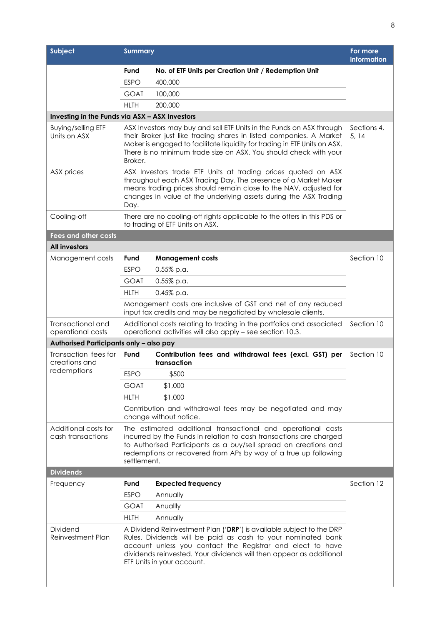| Fund<br><b>ESPO</b><br><b>GOAT</b><br><b>HLTH</b><br>Broker.                                                                                                                                                                                                                      | No. of ETF Units per Creation Unit / Redemption Unit<br>400,000<br>100,000<br>200,000<br>Investing in the Funds via ASX - ASX Investors<br>ASX Investors may buy and sell ETF Units in the Funds on ASX through<br>their Broker just like trading shares in listed companies. A Market<br>Maker is engaged to facilitate liquidity for trading in ETF Units on ASX.<br>There is no minimum trade size on ASX. You should check with your | Sections 4,<br>5, 14                                                                                                                                                                                                                                                                                                                                                                                                                                                                                                                                                                                                                                                                                                                                                                                                                                                                                                                                                                                                                                                                                                         |
|-----------------------------------------------------------------------------------------------------------------------------------------------------------------------------------------------------------------------------------------------------------------------------------|------------------------------------------------------------------------------------------------------------------------------------------------------------------------------------------------------------------------------------------------------------------------------------------------------------------------------------------------------------------------------------------------------------------------------------------|------------------------------------------------------------------------------------------------------------------------------------------------------------------------------------------------------------------------------------------------------------------------------------------------------------------------------------------------------------------------------------------------------------------------------------------------------------------------------------------------------------------------------------------------------------------------------------------------------------------------------------------------------------------------------------------------------------------------------------------------------------------------------------------------------------------------------------------------------------------------------------------------------------------------------------------------------------------------------------------------------------------------------------------------------------------------------------------------------------------------------|
|                                                                                                                                                                                                                                                                                   |                                                                                                                                                                                                                                                                                                                                                                                                                                          |                                                                                                                                                                                                                                                                                                                                                                                                                                                                                                                                                                                                                                                                                                                                                                                                                                                                                                                                                                                                                                                                                                                              |
|                                                                                                                                                                                                                                                                                   |                                                                                                                                                                                                                                                                                                                                                                                                                                          |                                                                                                                                                                                                                                                                                                                                                                                                                                                                                                                                                                                                                                                                                                                                                                                                                                                                                                                                                                                                                                                                                                                              |
|                                                                                                                                                                                                                                                                                   |                                                                                                                                                                                                                                                                                                                                                                                                                                          |                                                                                                                                                                                                                                                                                                                                                                                                                                                                                                                                                                                                                                                                                                                                                                                                                                                                                                                                                                                                                                                                                                                              |
|                                                                                                                                                                                                                                                                                   |                                                                                                                                                                                                                                                                                                                                                                                                                                          |                                                                                                                                                                                                                                                                                                                                                                                                                                                                                                                                                                                                                                                                                                                                                                                                                                                                                                                                                                                                                                                                                                                              |
|                                                                                                                                                                                                                                                                                   |                                                                                                                                                                                                                                                                                                                                                                                                                                          |                                                                                                                                                                                                                                                                                                                                                                                                                                                                                                                                                                                                                                                                                                                                                                                                                                                                                                                                                                                                                                                                                                                              |
|                                                                                                                                                                                                                                                                                   |                                                                                                                                                                                                                                                                                                                                                                                                                                          |                                                                                                                                                                                                                                                                                                                                                                                                                                                                                                                                                                                                                                                                                                                                                                                                                                                                                                                                                                                                                                                                                                                              |
| ASX Investors trade ETF Units at trading prices quoted on ASX<br>throughout each ASX Trading Day. The presence of a Market Maker<br>means trading prices should remain close to the NAV, adjusted for<br>changes in value of the underlying assets during the ASX Trading<br>Day. |                                                                                                                                                                                                                                                                                                                                                                                                                                          |                                                                                                                                                                                                                                                                                                                                                                                                                                                                                                                                                                                                                                                                                                                                                                                                                                                                                                                                                                                                                                                                                                                              |
|                                                                                                                                                                                                                                                                                   |                                                                                                                                                                                                                                                                                                                                                                                                                                          |                                                                                                                                                                                                                                                                                                                                                                                                                                                                                                                                                                                                                                                                                                                                                                                                                                                                                                                                                                                                                                                                                                                              |
|                                                                                                                                                                                                                                                                                   |                                                                                                                                                                                                                                                                                                                                                                                                                                          |                                                                                                                                                                                                                                                                                                                                                                                                                                                                                                                                                                                                                                                                                                                                                                                                                                                                                                                                                                                                                                                                                                                              |
|                                                                                                                                                                                                                                                                                   |                                                                                                                                                                                                                                                                                                                                                                                                                                          |                                                                                                                                                                                                                                                                                                                                                                                                                                                                                                                                                                                                                                                                                                                                                                                                                                                                                                                                                                                                                                                                                                                              |
| Fund                                                                                                                                                                                                                                                                              | <b>Management costs</b>                                                                                                                                                                                                                                                                                                                                                                                                                  | Section 10                                                                                                                                                                                                                                                                                                                                                                                                                                                                                                                                                                                                                                                                                                                                                                                                                                                                                                                                                                                                                                                                                                                   |
| <b>ESPO</b>                                                                                                                                                                                                                                                                       | $0.55\%$ p.a.                                                                                                                                                                                                                                                                                                                                                                                                                            |                                                                                                                                                                                                                                                                                                                                                                                                                                                                                                                                                                                                                                                                                                                                                                                                                                                                                                                                                                                                                                                                                                                              |
| GOAT                                                                                                                                                                                                                                                                              | $0.55\%$ p.a.                                                                                                                                                                                                                                                                                                                                                                                                                            |                                                                                                                                                                                                                                                                                                                                                                                                                                                                                                                                                                                                                                                                                                                                                                                                                                                                                                                                                                                                                                                                                                                              |
| <b>HLTH</b>                                                                                                                                                                                                                                                                       | $0.45\%$ p.a.                                                                                                                                                                                                                                                                                                                                                                                                                            |                                                                                                                                                                                                                                                                                                                                                                                                                                                                                                                                                                                                                                                                                                                                                                                                                                                                                                                                                                                                                                                                                                                              |
|                                                                                                                                                                                                                                                                                   |                                                                                                                                                                                                                                                                                                                                                                                                                                          |                                                                                                                                                                                                                                                                                                                                                                                                                                                                                                                                                                                                                                                                                                                                                                                                                                                                                                                                                                                                                                                                                                                              |
|                                                                                                                                                                                                                                                                                   |                                                                                                                                                                                                                                                                                                                                                                                                                                          | Section 10                                                                                                                                                                                                                                                                                                                                                                                                                                                                                                                                                                                                                                                                                                                                                                                                                                                                                                                                                                                                                                                                                                                   |
|                                                                                                                                                                                                                                                                                   |                                                                                                                                                                                                                                                                                                                                                                                                                                          |                                                                                                                                                                                                                                                                                                                                                                                                                                                                                                                                                                                                                                                                                                                                                                                                                                                                                                                                                                                                                                                                                                                              |
| Fund                                                                                                                                                                                                                                                                              | Contribution fees and withdrawal fees (excl. GST) per<br>transaction                                                                                                                                                                                                                                                                                                                                                                     | Section 10                                                                                                                                                                                                                                                                                                                                                                                                                                                                                                                                                                                                                                                                                                                                                                                                                                                                                                                                                                                                                                                                                                                   |
| <b>ESPO</b>                                                                                                                                                                                                                                                                       | \$500                                                                                                                                                                                                                                                                                                                                                                                                                                    |                                                                                                                                                                                                                                                                                                                                                                                                                                                                                                                                                                                                                                                                                                                                                                                                                                                                                                                                                                                                                                                                                                                              |
| <b>GOAT</b>                                                                                                                                                                                                                                                                       | \$1,000                                                                                                                                                                                                                                                                                                                                                                                                                                  |                                                                                                                                                                                                                                                                                                                                                                                                                                                                                                                                                                                                                                                                                                                                                                                                                                                                                                                                                                                                                                                                                                                              |
| <b>HLTH</b>                                                                                                                                                                                                                                                                       | \$1,000                                                                                                                                                                                                                                                                                                                                                                                                                                  |                                                                                                                                                                                                                                                                                                                                                                                                                                                                                                                                                                                                                                                                                                                                                                                                                                                                                                                                                                                                                                                                                                                              |
|                                                                                                                                                                                                                                                                                   |                                                                                                                                                                                                                                                                                                                                                                                                                                          |                                                                                                                                                                                                                                                                                                                                                                                                                                                                                                                                                                                                                                                                                                                                                                                                                                                                                                                                                                                                                                                                                                                              |
|                                                                                                                                                                                                                                                                                   |                                                                                                                                                                                                                                                                                                                                                                                                                                          |                                                                                                                                                                                                                                                                                                                                                                                                                                                                                                                                                                                                                                                                                                                                                                                                                                                                                                                                                                                                                                                                                                                              |
|                                                                                                                                                                                                                                                                                   |                                                                                                                                                                                                                                                                                                                                                                                                                                          |                                                                                                                                                                                                                                                                                                                                                                                                                                                                                                                                                                                                                                                                                                                                                                                                                                                                                                                                                                                                                                                                                                                              |
| Fund<br><b>ESPO</b>                                                                                                                                                                                                                                                               | <b>Expected frequency</b><br>Annually                                                                                                                                                                                                                                                                                                                                                                                                    | Section 12                                                                                                                                                                                                                                                                                                                                                                                                                                                                                                                                                                                                                                                                                                                                                                                                                                                                                                                                                                                                                                                                                                                   |
| <b>GOAT</b>                                                                                                                                                                                                                                                                       | Anuallly                                                                                                                                                                                                                                                                                                                                                                                                                                 |                                                                                                                                                                                                                                                                                                                                                                                                                                                                                                                                                                                                                                                                                                                                                                                                                                                                                                                                                                                                                                                                                                                              |
| <b>HLTH</b>                                                                                                                                                                                                                                                                       | Annually                                                                                                                                                                                                                                                                                                                                                                                                                                 |                                                                                                                                                                                                                                                                                                                                                                                                                                                                                                                                                                                                                                                                                                                                                                                                                                                                                                                                                                                                                                                                                                                              |
|                                                                                                                                                                                                                                                                                   |                                                                                                                                                                                                                                                                                                                                                                                                                                          |                                                                                                                                                                                                                                                                                                                                                                                                                                                                                                                                                                                                                                                                                                                                                                                                                                                                                                                                                                                                                                                                                                                              |
|                                                                                                                                                                                                                                                                                   |                                                                                                                                                                                                                                                                                                                                                                                                                                          | There are no cooling-off rights applicable to the offers in this PDS or<br>to trading of ETF Units on ASX.<br>Management costs are inclusive of GST and net of any reduced<br>input tax credits and may be negotiated by wholesale clients.<br>Additional costs relating to trading in the portfolios and associated<br>operational activities will also apply - see section 10.3.<br>Authorised Participants only - also pay<br>Contribution and withdrawal fees may be negotiated and may<br>change without notice.<br>The estimated additional transactional and operational costs<br>incurred by the Funds in relation to cash transactions are charged<br>to Authorised Participants as a buy/sell spread on creations and<br>redemptions or recovered from APs by way of a true up following<br>settlement.<br>A Dividend Reinvestment Plan ('DRP') is available subject to the DRP<br>Rules. Dividends will be paid as cash to your nominated bank<br>account unless you contact the Registrar and elect to have<br>dividends reinvested. Your dividends will then appear as additional<br>ETF Units in your account. |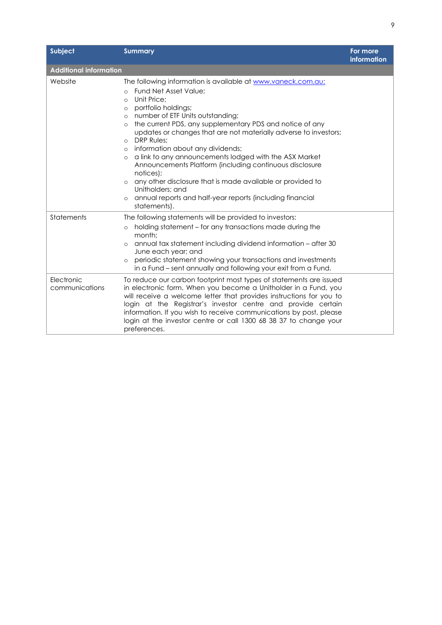| Subject                       | <b>Summary</b>                                                                                                                                                                                                                                                                                                                                                                                                                                                                                                                                                                                                                                                                                                                                                    | For more<br><b>information</b> |
|-------------------------------|-------------------------------------------------------------------------------------------------------------------------------------------------------------------------------------------------------------------------------------------------------------------------------------------------------------------------------------------------------------------------------------------------------------------------------------------------------------------------------------------------------------------------------------------------------------------------------------------------------------------------------------------------------------------------------------------------------------------------------------------------------------------|--------------------------------|
| <b>Additional information</b> |                                                                                                                                                                                                                                                                                                                                                                                                                                                                                                                                                                                                                                                                                                                                                                   |                                |
| Website                       | The following information is available at www.vaneck.com.au:<br>Fund Net Asset Value:<br>$\Omega$<br>Unit Price:<br>$\circ$<br>portfolio holdings;<br>$\circ$<br>number of ETF Units outstanding;<br>$\circ$<br>the current PDS, any supplementary PDS and notice of any<br>$\circ$<br>updates or changes that are not materially adverse to investors;<br>DRP Rules;<br>$\circ$<br>information about any dividends;<br>$\circ$<br>a link to any announcements lodged with the ASX Market<br>$\circ$<br>Announcements Platform (including continuous disclosure<br>notices);<br>any other disclosure that is made available or provided to<br>$\circ$<br>Unitholders; and<br>annual reports and half-year reports (including financial<br>$\circ$<br>statements). |                                |
| Statements                    | The following statements will be provided to investors:<br>holding statement - for any transactions made during the<br>$\circ$<br>month;<br>annual tax statement including dividend information - after 30<br>$\circ$<br>June each year; and<br>periodic statement showing your transactions and investments<br>$\circ$<br>in a Fund – sent annually and following your exit from a Fund.                                                                                                                                                                                                                                                                                                                                                                         |                                |
| Electronic<br>communications  | To reduce our carbon footprint most types of statements are issued<br>in electronic form. When you become a Unitholder in a Fund, you<br>will receive a welcome letter that provides instructions for you to<br>login at the Registrar's investor centre and provide certain<br>information. If you wish to receive communications by post, please<br>login at the investor centre or call 1300 68 38 37 to change your<br>preferences.                                                                                                                                                                                                                                                                                                                           |                                |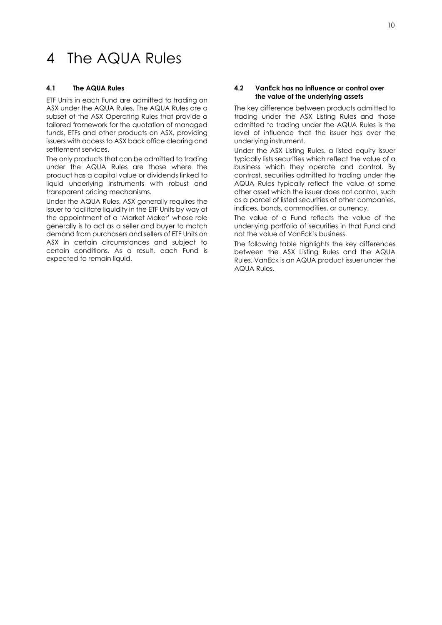# <span id="page-10-0"></span>4 The AQUA Rules

## **4.1 The AQUA Rules**

ETF Units in each Fund are admitted to trading on ASX under the AQUA Rules. The AQUA Rules are a subset of the ASX Operating Rules that provide a tailored framework for the quotation of managed funds, ETFs and other products on ASX, providing issuers with access to ASX back office clearing and settlement services.

The only products that can be admitted to trading under the AQUA Rules are those where the product has a capital value or dividends linked to liquid underlying instruments with robust and transparent pricing mechanisms.

Under the AQUA Rules, ASX generally requires the issuer to facilitate liquidity in the ETF Units by way of the appointment of a 'Market Maker' whose role generally is to act as a seller and buyer to match demand from purchasers and sellers of ETF Units on ASX in certain circumstances and subject to certain conditions. As a result, each Fund is expected to remain liquid.

## **4.2 VanEck has no influence or control over the value of the underlying assets**

The key difference between products admitted to trading under the ASX Listing Rules and those admitted to trading under the AQUA Rules is the level of influence that the issuer has over the underlying instrument.

Under the ASX Listing Rules, a listed equity issuer typically lists securities which reflect the value of a business which they operate and control. By contrast, securities admitted to trading under the AQUA Rules typically reflect the value of some other asset which the issuer does not control, such as a parcel of listed securities of other companies, indices, bonds, commodities, or currency.

The value of a Fund reflects the value of the underlying portfolio of securities in that Fund and not the value of VanEck's business.

The following table highlights the key differences between the ASX Listing Rules and the AQUA Rules. VanEck is an AQUA product issuer under the AQUA Rules.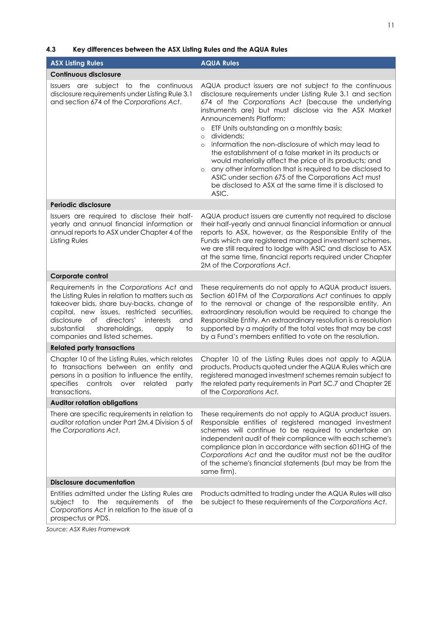# **4.3 Key differences between the ASX Listing Rules and the AQUA Rules**

| <b>ASX Listing Rules</b>                                                                                                                                                                                                                                                                                                     | <b>AQUA Rules</b>                                                                                                                                                                                                                                                                                                                                                                                                                                                                                                                                                                                                                                                                                                                         |
|------------------------------------------------------------------------------------------------------------------------------------------------------------------------------------------------------------------------------------------------------------------------------------------------------------------------------|-------------------------------------------------------------------------------------------------------------------------------------------------------------------------------------------------------------------------------------------------------------------------------------------------------------------------------------------------------------------------------------------------------------------------------------------------------------------------------------------------------------------------------------------------------------------------------------------------------------------------------------------------------------------------------------------------------------------------------------------|
| <b>Continuous disclosure</b>                                                                                                                                                                                                                                                                                                 |                                                                                                                                                                                                                                                                                                                                                                                                                                                                                                                                                                                                                                                                                                                                           |
| Issuers are subject to the continuous<br>disclosure requirements under Listing Rule 3.1<br>and section 674 of the Corporations Act.                                                                                                                                                                                          | AQUA product issuers are not subject to the continuous<br>disclosure requirements under Listing Rule 3.1 and section<br>674 of the Corporations Act (because the underlying<br>instruments are) but must disclose via the ASX Market<br>Announcements Platform:<br>ETF Units outstanding on a monthly basis;<br>$\circ$<br>dividends;<br>$\circ$<br>information the non-disclosure of which may lead to<br>$\circ$<br>the establishment of a false market in its products or<br>would materially affect the price of its products; and<br>any other information that is required to be disclosed to<br>$\circ$<br>ASIC under section 675 of the Corporations Act must<br>be disclosed to ASX at the same time it is disclosed to<br>ASIC. |
| Periodic disclosure                                                                                                                                                                                                                                                                                                          |                                                                                                                                                                                                                                                                                                                                                                                                                                                                                                                                                                                                                                                                                                                                           |
| Issuers are required to disclose their half-<br>yearly and annual financial information or<br>annual reports to ASX under Chapter 4 of the<br>Listing Rules                                                                                                                                                                  | AQUA product issuers are currently not required to disclose<br>their half-yearly and annual financial information or annual<br>reports to ASX, however, as the Responsible Entity of the<br>Funds which are registered managed investment schemes,<br>we are still required to lodge with ASIC and disclose to ASX<br>at the same time, financial reports required under Chapter<br>2M of the Corporations Act.                                                                                                                                                                                                                                                                                                                           |
| Corporate control                                                                                                                                                                                                                                                                                                            |                                                                                                                                                                                                                                                                                                                                                                                                                                                                                                                                                                                                                                                                                                                                           |
| Requirements in the Corporations Act and<br>the Listing Rules in relation to matters such as<br>takeover bids, share buy-backs, change of<br>capital, new issues, restricted securities,<br>disclosure<br>of directors'<br>interests<br>and<br>shareholdings,<br>substantial<br>to<br>apply<br>companies and listed schemes. | These requirements do not apply to AQUA product issuers.<br>Section 601FM of the Corporations Act continues to apply<br>to the removal or change of the responsible entity. An<br>extraordinary resolution would be required to change the<br>Responsible Entity. An extraordinary resolution is a resolution<br>supported by a majority of the total votes that may be cast<br>by a Fund's members entitled to vote on the resolution.                                                                                                                                                                                                                                                                                                   |
| <b>Related party transactions</b>                                                                                                                                                                                                                                                                                            |                                                                                                                                                                                                                                                                                                                                                                                                                                                                                                                                                                                                                                                                                                                                           |
| Chapter 10 of the Listing Rules, which relates<br>to transactions between an entity and<br>persons in a position to influence the entity,<br>specifies controls over related<br>party<br>transactions.                                                                                                                       | Chapter 10 of the Listing Rules does not apply to AQUA<br>products. Products quoted under the AQUA Rules which are<br>registered managed investment schemes remain subject to<br>the related party requirements in Part 5C.7 and Chapter 2E<br>of the Corporations Act.                                                                                                                                                                                                                                                                                                                                                                                                                                                                   |
| <b>Auditor rotation obligations</b>                                                                                                                                                                                                                                                                                          |                                                                                                                                                                                                                                                                                                                                                                                                                                                                                                                                                                                                                                                                                                                                           |
| There are specific requirements in relation to<br>auditor rotation under Part 2M.4 Division 5 of<br>the Corporations Act.                                                                                                                                                                                                    | These requirements do not apply to AQUA product issuers.<br>Responsible entities of registered managed investment<br>schemes will continue to be required to undertake an<br>independent audit of their compliance with each scheme's<br>compliance plan in accordance with section 601HG of the<br>Corporations Act and the auditor must not be the auditor<br>of the scheme's financial statements (but may be from the<br>same firm).                                                                                                                                                                                                                                                                                                  |
| <b>Disclosure documentation</b>                                                                                                                                                                                                                                                                                              |                                                                                                                                                                                                                                                                                                                                                                                                                                                                                                                                                                                                                                                                                                                                           |
| Entities admitted under the Listing Rules are<br>the<br>requirements<br>of the<br>subject to<br>Corporations Act in relation to the issue of a<br>prospectus or PDS.                                                                                                                                                         | Products admitted to trading under the AQUA Rules will also<br>be subject to these requirements of the Corporations Act.                                                                                                                                                                                                                                                                                                                                                                                                                                                                                                                                                                                                                  |

*Source: ASX Rules Framework*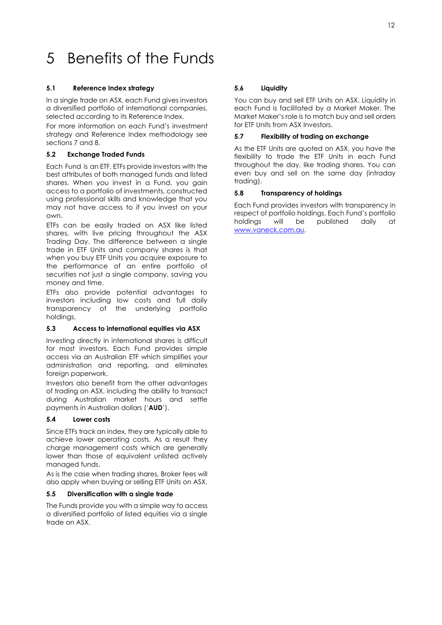# <span id="page-12-0"></span>5 Benefits of the Funds

# **5.1 Reference Index strategy**

In a single trade on ASX, each Fund gives investors a diversified portfolio of international companies, selected according to its Reference Index.

For more information on each Fund's investment strategy and Reference Index methodology see sections 7 and 8.

# **5.2 Exchange Traded Funds**

Each Fund is an ETF. ETFs provide investors with the best attributes of both managed funds and listed shares. When you invest in a Fund, you gain access to a portfolio of investments, constructed using professional skills and knowledge that you may not have access to if you invest on your own.

ETFs can be easily traded on ASX like listed shares, with live pricing throughout the ASX Trading Day. The difference between a single trade in ETF Units and company shares is that when you buy ETF Units you acquire exposure to the performance of an entire portfolio of securities not just a single company, saving you money and time.

ETFs also provide potential advantages to investors including low costs and full daily transparency of the underlying portfolio holdings.

# **5.3 Access to international equities via ASX**

Investing directly in international shares is difficult for most investors. Each Fund provides simple access via an Australian ETF which simplifies your administration and reporting, and eliminates foreign paperwork.

Investors also benefit from the other advantages of trading on ASX, including the ability to transact during Australian market hours and settle payments in Australian dollars ('**AUD**').

# **5.4 Lower costs**

Since ETFs track an index, they are typically able to achieve lower operating costs. As a result they charge management costs which are generally lower than those of equivalent unlisted actively managed funds.

As is the case when trading shares, Broker fees will also apply when buying or selling ETF Units on ASX.

# **5.5 Diversification with a single trade**

The Funds provide you with a simple way to access a diversified portfolio of listed equities via a single trade on ASX.

# **5.6 Liquidity**

You can buy and sell ETF Units on ASX. Liquidity in each Fund is facilitated by a Market Maker. The Market Maker's role is to match buy and sell orders for ETF Units from ASX Investors.

## **5.7 Flexibility of trading on exchange**

As the ETF Units are quoted on ASX, you have the flexibility to trade the ETF Units in each Fund throughout the day, like trading shares. You can even buy and sell on the same day (intraday trading).

# **5.8 Transparency of holdings**

Each Fund provides investors with transparency in respect of portfolio holdings. Each Fund's portfolio holdings will be published daily at [www.vaneck.com.au.](http://www.vaneck.com.au/)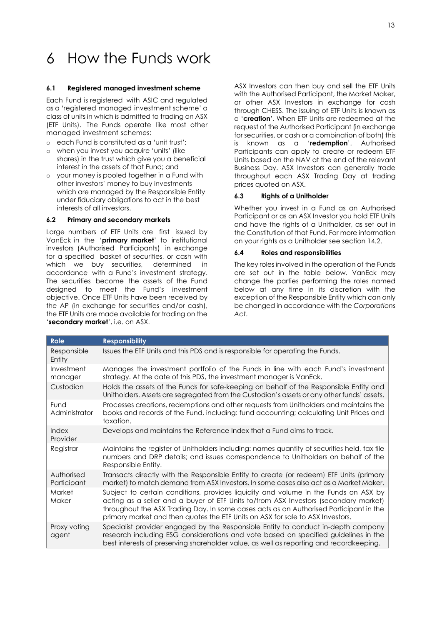# <span id="page-13-0"></span>6 How the Funds work

## **6.1 Registered managed investment scheme**

Each Fund is registered with ASIC and regulated as a 'registered managed investment scheme' a class of units in which is admitted to trading on ASX (ETF Units). The Funds operate like most other managed investment schemes:

- o each Fund is constituted as a 'unit trust';
- o when you invest you acquire 'units' (like shares) in the trust which give you a beneficial interest in the assets of that Fund; and
- o your money is pooled together in a Fund with other investors' money to buy investments which are managed by the Responsible Entity under fiduciary obligations to act in the best interests of all investors.

## **6.2 Primary and secondary markets**

Large numbers of ETF Units are first issued by VanEck in the '**primary market**' to institutional investors (Authorised Participants) in exchange for a specified basket of securities, or cash with which we buy securities, determined in accordance with a Fund's investment strategy. The securities become the assets of the Fund designed to meet the Fund's investment objective. Once ETF Units have been received by the AP (in exchange for securities and/or cash), the ETF Units are made available for trading on the '**secondary market**', i.e. on ASX.

ASX Investors can then buy and sell the ETF Units with the Authorised Participant, the Market Maker, or other ASX Investors in exchange for cash through CHESS. The issuing of ETF Units is known as a '**creation**'. When ETF Units are redeemed at the request of the Authorised Participant (in exchange for securities, or cash or a combination of both) this known as a 'redemption'. Authorised Participants can apply to create or redeem ETF Units based on the NAV at the end of the relevant Business Day. ASX Investors can generally trade throughout each ASX Trading Day at trading prices quoted on ASX.

## **6.3 Rights of a Unitholder**

Whether you invest in a Fund as an Authorised Participant or as an ASX Investor you hold ETF Units and have the rights of a Unitholder, as set out in the Constitution of that Fund. For more information on your rights as a Unitholder see section 14.2.

# **6.4 Roles and responsibilities**

The key roles involved in the operation of the Funds are set out in the table below. VanEck may change the parties performing the roles named below at any time in its discretion with the exception of the Responsible Entity which can only be changed in accordance with the *Corporations Act*.

| <b>Role</b>               | <b>Responsibility</b>                                                                                                                                                                                                                                                                                                                                   |
|---------------------------|---------------------------------------------------------------------------------------------------------------------------------------------------------------------------------------------------------------------------------------------------------------------------------------------------------------------------------------------------------|
| Responsible<br>Entity     | Issues the ETF Units and this PDS and is responsible for operating the Funds.                                                                                                                                                                                                                                                                           |
| Investment<br>manager     | Manages the investment portfolio of the Funds in line with each Fund's investment<br>strategy. At the date of this PDS, the investment manager is VanEck.                                                                                                                                                                                               |
| Custodian                 | Holds the assets of the Funds for safe-keeping on behalf of the Responsible Entity and<br>Unitholders. Assets are segregated from the Custodian's assets or any other funds' assets.                                                                                                                                                                    |
| Fund<br>Administrator     | Processes creations, redemptions and other requests from Unitholders and maintains the<br>books and records of the Fund, including: fund accounting; calculating Unit Prices and<br>taxation.                                                                                                                                                           |
| Index<br>Provider         | Develops and maintains the Reference Index that a Fund aims to track.                                                                                                                                                                                                                                                                                   |
| Registrar                 | Maintains the register of Unitholders including: names quantity of securities held, tax file<br>numbers and DRP details; and issues correspondence to Unitholders on behalf of the<br>Responsible Entity.                                                                                                                                               |
| Authorised<br>Participant | Transacts directly with the Responsible Entity to create (or redeem) ETF Units (primary<br>market) to match demand from ASX Investors. In some cases also act as a Market Maker.                                                                                                                                                                        |
| <b>Market</b><br>Maker    | Subject to certain conditions, provides liquidity and volume in the Funds on ASX by<br>acting as a seller and a buyer of ETF Units to/from ASX Investors (secondary market)<br>throughout the ASX Trading Day. In some cases acts as an Authorised Participant in the<br>primary market and then quotes the ETF Units on ASX for sale to ASX Investors. |
| Proxy voting<br>agent     | Specialist provider engaged by the Responsible Entity to conduct in-depth company<br>research including ESG considerations and vote based on specified guidelines in the<br>best interests of preserving shareholder value, as well as reporting and recordkeeping.                                                                                     |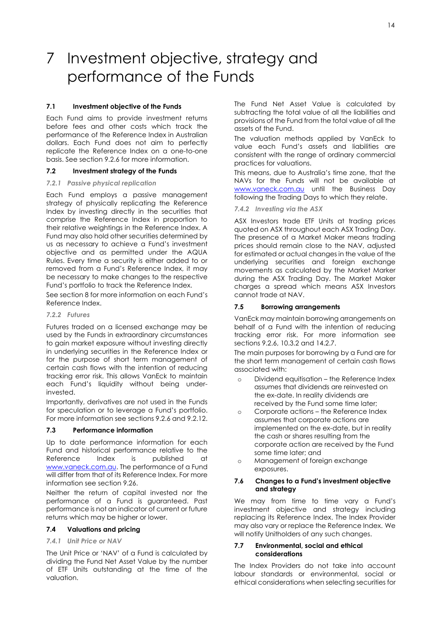# <span id="page-14-0"></span>7 Investment objective, strategy and performance of the Funds

# **7.1 Investment objective of the Funds**

Each Fund aims to provide investment returns before fees and other costs which track the performance of the Reference Index in Australian dollars. Each Fund does not aim to perfectly replicate the Reference Index on a one-to-one basis. See section 9.2.6 for more information.

## **7.2 Investment strategy of the Funds**

## *7.2.1 Passive physical replication*

Each Fund employs a passive management strategy of physically replicating the Reference Index by investing directly in the securities that comprise the Reference Index in proportion to their relative weightings in the Reference Index. A Fund may also hold other securities determined by us as necessary to achieve a Fund's investment objective and as permitted under the AQUA Rules. Every time a security is either added to or removed from a Fund's Reference Index, it may be necessary to make changes to the respective Fund's portfolio to track the Reference Index.

See section 8 for more information on each Fund's Reference Index.

## *7.2.2 Futures*

Futures traded on a licensed exchange may be used by the Funds in extraordinary circumstances to gain market exposure without investing directly in underlying securities in the Reference Index or for the purpose of short term management of certain cash flows with the intention of reducing tracking error risk. This allows VanEck to maintain each Fund's liquidity without being underinvested.

Importantly, derivatives are not used in the Funds for speculation or to leverage a Fund's portfolio. For more information see sections 9.2.6 and 9.2.12.

## **7.3 Performance information**

Up to date performance information for each Fund and historical performance relative to the Reference Index is published at [www.vaneck.com.au.](http://www.vaneck.com.au/) The performance of a Fund will differ from that of its Reference Index. For more information see section 9.26.

Neither the return of capital invested nor the performance of a Fund is guaranteed. Past performance is not an indicator of current or future returns which may be higher or lower.

## **7.4 Valuations and pricing**

#### *7.4.1 Unit Price or NAV*

The Unit Price or 'NAV' of a Fund is calculated by dividing the Fund Net Asset Value by the number of ETF Units outstanding at the time of the valuation.

The Fund Net Asset Value is calculated by subtracting the total value of all the liabilities and provisions of the Fund from the total value of all the assets of the Fund.

The valuation methods applied by VanEck to value each Fund's assets and liabilities are consistent with the range of ordinary commercial practices for valuations.

This means, due to Australia's time zone, that the NAVs for the Funds will not be available at [www.vaneck.com.au](http://www.vaneck.com.au/) until the Business Day following the Trading Days to which they relate.

# *7.4.2 Investing via the ASX*

ASX Investors trade ETF Units at trading prices quoted on ASX throughout each ASX Trading Day. The presence of a Market Maker means trading prices should remain close to the NAV, adjusted for estimated or actual changes in the value of the underlying securities and foreign exchange movements as calculated by the Market Marker during the ASX Trading Day. The Market Maker charges a spread which means ASX Investors cannot trade at NAV.

## **7.5 Borrowing arrangements**

VanEck may maintain borrowing arrangements on behalf of a Fund with the intention of reducing tracking error risk. For more information see sections 9.2.6, 10.3.2 and 14.2.7.

The main purposes for borrowing by a Fund are for the short term management of certain cash flows associated with:

- o Dividend equitisation the Reference Index assumes that dividends are reinvested on the ex-date. In reality dividends are received by the Fund some time later;
- o Corporate actions the Reference Index assumes that corporate actions are implemented on the ex-date, but in reality the cash or shares resulting from the corporate action are received by the Fund some time later; and
- o Management of foreign exchange exposures.

## **7.6 Changes to a Fund's investment objective and strategy**

We may from time to time vary a Fund's investment objective and strategy including replacing its Reference Index. The Index Provider may also vary or replace the Reference Index. We will notify Unitholders of any such changes.

## **7.7 Environmental, social and ethical considerations**

The Index Providers do not take into account labour standards or environmental, social or ethical considerations when selecting securities for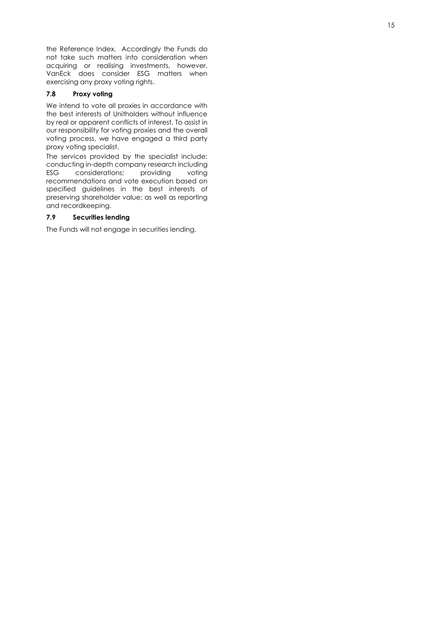the Reference Index. Accordingly the Fund s do not take such matters into consideration when acquiring or realising investments, however, VanEck does consider ESG matters when exercising any proxy voting rights .

# **7.8 Proxy voting**

We intend to vote all proxies in accordance with the best interests of Unitholders without influence by real or apparent conflicts of interest. To assist in our responsibility for voting proxies and the overall voting process, we have engaged a third party proxy voting specialist.

The services provided by the specialist include : conducting in -depth company research including ESG considerations; providing voting recommendations and vote execution based on specified guidelines in the best interests of preserving shareholder value; as well as reporting and recordkeeping.

# **7.9 Securities lending**

The Fund s will not engage in securities lending.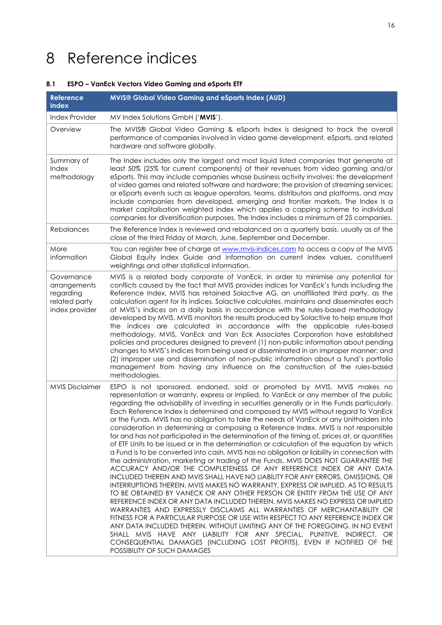# <span id="page-16-0"></span>8 Reference indices

# **8.1 ESPO – VanEck Vectors Video Gaming and eSports ETF**

| Reference<br><b>Index</b>                                                  | <b>MVIS® Global Video Gaming and eSports Index (AUD)</b>                                                                                                                                                                                                                                                                                                                                                                                                                                                                                                                                                                                                                                                                                                                                                                                                                                                                                                                                                                                                                                                                                                                                                                                                                                                                                                                                                                                                                                                                                                                                                                                                                                                                                                                    |
|----------------------------------------------------------------------------|-----------------------------------------------------------------------------------------------------------------------------------------------------------------------------------------------------------------------------------------------------------------------------------------------------------------------------------------------------------------------------------------------------------------------------------------------------------------------------------------------------------------------------------------------------------------------------------------------------------------------------------------------------------------------------------------------------------------------------------------------------------------------------------------------------------------------------------------------------------------------------------------------------------------------------------------------------------------------------------------------------------------------------------------------------------------------------------------------------------------------------------------------------------------------------------------------------------------------------------------------------------------------------------------------------------------------------------------------------------------------------------------------------------------------------------------------------------------------------------------------------------------------------------------------------------------------------------------------------------------------------------------------------------------------------------------------------------------------------------------------------------------------------|
| <b>Index Provider</b>                                                      | MV Index Solutions GmbH ('MVIS').                                                                                                                                                                                                                                                                                                                                                                                                                                                                                                                                                                                                                                                                                                                                                                                                                                                                                                                                                                                                                                                                                                                                                                                                                                                                                                                                                                                                                                                                                                                                                                                                                                                                                                                                           |
| Overview                                                                   | The MVIS® Global Video Gaming & eSports Index is designed to track the overall<br>performance of companies involved in video game development, eSports, and related<br>hardware and software globally.                                                                                                                                                                                                                                                                                                                                                                                                                                                                                                                                                                                                                                                                                                                                                                                                                                                                                                                                                                                                                                                                                                                                                                                                                                                                                                                                                                                                                                                                                                                                                                      |
| Summary of<br>Index<br>methodology                                         | The Index includes only the largest and most liquid listed companies that generate at<br>least 50% (25% for current components) of their revenues from video gaming and/or<br>eSports. This may include companies whose business activity involves: the development<br>of video games and related software and hardware; the provision of streaming services;<br>or eSports events such as league operators, teams, distributors and platforms, and may<br>include companies from developed, emerging and frontier markets. The Index is a<br>market capitalisation weighted index which applies a capping scheme to individual<br>companies for diversification purposes. The Index includes a minimum of 25 companies.                                                                                                                                                                                                                                                                                                                                                                                                                                                                                                                                                                                                                                                                                                                                                                                                                                                                                                                                                                                                                                                    |
| Rebalances                                                                 | The Reference Index is reviewed and rebalanced on a quarterly basis, usually as of the<br>close of the third Friday of March, June, September and December.                                                                                                                                                                                                                                                                                                                                                                                                                                                                                                                                                                                                                                                                                                                                                                                                                                                                                                                                                                                                                                                                                                                                                                                                                                                                                                                                                                                                                                                                                                                                                                                                                 |
| More<br>information                                                        | You can register free of charge at www.mvis-indices.com to access a copy of the MVIS<br>Global Equity Index Guide and information on current Index values, constituent<br>weightings and other statistical information.                                                                                                                                                                                                                                                                                                                                                                                                                                                                                                                                                                                                                                                                                                                                                                                                                                                                                                                                                                                                                                                                                                                                                                                                                                                                                                                                                                                                                                                                                                                                                     |
| Governance<br>arrangements<br>regarding<br>related party<br>index provider | MVIS is a related body corporate of VanEck. In order to minimise any potential for<br>conflicts caused by the fact that MVIS provides indices for VanEck's funds including the<br>Reference Index, MVIS has retained Solactive AG, an unaffiliated third party, as the<br>calculation agent for its indices. Solactive calculates, maintains and disseminates each<br>of MVIS's indices on a daily basis in accordance with the rules-based methodology<br>developed by MVIS. MVIS monitors the results produced by Solactive to help ensure that<br>the indices are calculated in accordance with the applicable rules-based<br>methodology. MVIS, VanEck and Van Eck Associates Corporation have established<br>policies and procedures designed to prevent (1) non-public information about pending<br>changes to MVIS's indices from being used or disseminated in an improper manner; and<br>(2) improper use and dissemination of non-public information about a fund's portfolio<br>management from having any influence on the construction of the rules-based<br>methodologies.                                                                                                                                                                                                                                                                                                                                                                                                                                                                                                                                                                                                                                                                                    |
| <b>MVIS Disclaimer</b>                                                     | ESPO is not sponsored, endorsed, sold or promoted by MVIS. MVIS makes no<br>representation or warranty, express or implied, to VanEck or any member of the public<br>regarding the advisability of investing in securities generally or in the Funds particularly.<br>Each Reference Index is determined and composed by MVIS without regard to VanEck<br>or the Funds. MVIS has no obligation to take the needs of VanEck or any Unitholders into<br>consideration in determining or composing a Reference Index. MVIS is not responsible<br>for and has not participated in the determination of the timing of, prices at, or quantities<br>of ETF Units to be issued or in the determination or calculation of the equation by which<br>a Fund is to be converted into cash. MVIS has no obligation or liability in connection with<br>the administration, marketing or trading of the Funds. MVIS DOES NOT GUARANTEE THE<br>ACCURACY AND/OR THE COMPLETENESS OF ANY REFERENCE INDEX OR ANY DATA<br>INCLUDED THEREIN AND MVIS SHALL HAVE NO LIABILITY FOR ANY ERRORS, OMISSIONS, OR<br>INTERRUPTIONS THEREIN. MVIS MAKES NO WARRANTY, EXPRESS OR IMPLIED, AS TO RESULTS<br>TO BE OBTAINED BY VANECK OR ANY OTHER PERSON OR ENTITY FROM THE USE OF ANY<br>REFERENCE INDEX OR ANY DATA INCLUDED THEREIN. MVIS MAKES NO EXPRESS OR IMPLIED<br>WARRANTIES AND EXPRESSLY DISCLAIMS ALL WARRANTIES OF MERCHANTABILITY OR<br>FITNESS FOR A PARTICULAR PURPOSE OR USE WITH RESPECT TO ANY REFERENCE INDEX OR<br>ANY DATA INCLUDED THEREIN. WITHOUT LIMITING ANY OF THE FOREGOING, IN NO EVENT<br>SHALL MVIS HAVE ANY LIABILITY FOR ANY SPECIAL, PUNITIVE, INDIRECT, OR<br>CONSEQUENTIAL DAMAGES (INCLUDING LOST PROFITS), EVEN IF NOTIFIED OF THE<br>POSSIBILITY OF SUCH DAMAGES |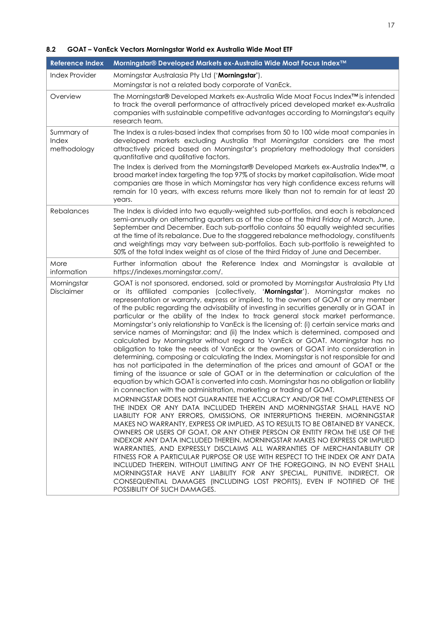# **8.2 GOAT – VanEck Vectors Morningstar World ex Australia Wide Moat ETF**

| <b>Reference Index</b>             | Morningstar® Developed Markets ex-Australia Wide Moat Focus Index™                                                                                                                                                                                                                                                                                                                                                                                                                                                                                                                                                                                                                                                                                                                                                                                                                                                                                                                                                                                                                                                                                                                                                                                                                                                                                                                                                                                                                                                                                                                                                                                                                                                                                                                                                                                                                                                                                                                                                                                                                                                                                                          |
|------------------------------------|-----------------------------------------------------------------------------------------------------------------------------------------------------------------------------------------------------------------------------------------------------------------------------------------------------------------------------------------------------------------------------------------------------------------------------------------------------------------------------------------------------------------------------------------------------------------------------------------------------------------------------------------------------------------------------------------------------------------------------------------------------------------------------------------------------------------------------------------------------------------------------------------------------------------------------------------------------------------------------------------------------------------------------------------------------------------------------------------------------------------------------------------------------------------------------------------------------------------------------------------------------------------------------------------------------------------------------------------------------------------------------------------------------------------------------------------------------------------------------------------------------------------------------------------------------------------------------------------------------------------------------------------------------------------------------------------------------------------------------------------------------------------------------------------------------------------------------------------------------------------------------------------------------------------------------------------------------------------------------------------------------------------------------------------------------------------------------------------------------------------------------------------------------------------------------|
| <b>Index Provider</b>              | Morningstar Australasia Pty Ltd ('Morningstar').<br>Morningstar is not a related body corporate of VanEck.                                                                                                                                                                                                                                                                                                                                                                                                                                                                                                                                                                                                                                                                                                                                                                                                                                                                                                                                                                                                                                                                                                                                                                                                                                                                                                                                                                                                                                                                                                                                                                                                                                                                                                                                                                                                                                                                                                                                                                                                                                                                  |
| Overview                           | The Morningstar® Developed Markets ex-Australia Wide Moat Focus Index <sup>™</sup> is intended<br>to track the overall performance of attractively priced developed market ex-Australia<br>companies with sustainable competitive advantages according to Morningstar's equity<br>research team.                                                                                                                                                                                                                                                                                                                                                                                                                                                                                                                                                                                                                                                                                                                                                                                                                                                                                                                                                                                                                                                                                                                                                                                                                                                                                                                                                                                                                                                                                                                                                                                                                                                                                                                                                                                                                                                                            |
| Summary of<br>Index<br>methodology | The Index is a rules-based index that comprises from 50 to 100 wide moat companies in<br>developed markets excluding Australia that Morningstar considers are the most<br>attractively priced based on Morningstar's proprietary methodology that considers<br>quantitative and qualitative factors.                                                                                                                                                                                                                                                                                                                                                                                                                                                                                                                                                                                                                                                                                                                                                                                                                                                                                                                                                                                                                                                                                                                                                                                                                                                                                                                                                                                                                                                                                                                                                                                                                                                                                                                                                                                                                                                                        |
|                                    | The Index is derived from the Morningstar® Developed Markets ex-Australia Index <sup>™</sup> , a<br>broad market index targeting the top 97% of stocks by market capitalisation. Wide moat<br>companies are those in which Morningstar has very high confidence excess returns will<br>remain for 10 years, with excess returns more likely than not to remain for at least 20<br>years.                                                                                                                                                                                                                                                                                                                                                                                                                                                                                                                                                                                                                                                                                                                                                                                                                                                                                                                                                                                                                                                                                                                                                                                                                                                                                                                                                                                                                                                                                                                                                                                                                                                                                                                                                                                    |
| Rebalances                         | The Index is divided into two equally-weighted sub-portfolios, and each is rebalanced<br>semi-annually on alternating quarters as of the close of the third Friday of March, June,<br>September and December. Each sub-portfolio contains 50 equally weighted securities<br>at the time of its rebalance. Due to the staggered rebalance methodology, constituents<br>and weightings may vary between sub-portfolios. Each sub-portfolio is reweighted to<br>50% of the total Index weight as of close of the third Friday of June and December.                                                                                                                                                                                                                                                                                                                                                                                                                                                                                                                                                                                                                                                                                                                                                                                                                                                                                                                                                                                                                                                                                                                                                                                                                                                                                                                                                                                                                                                                                                                                                                                                                            |
| More<br>information                | Further information about the Reference Index and Morningstar is available at<br>https://indexes.morningstar.com/.                                                                                                                                                                                                                                                                                                                                                                                                                                                                                                                                                                                                                                                                                                                                                                                                                                                                                                                                                                                                                                                                                                                                                                                                                                                                                                                                                                                                                                                                                                                                                                                                                                                                                                                                                                                                                                                                                                                                                                                                                                                          |
| Morningstar<br>Disclaimer          | GOAT is not sponsored, endorsed, sold or promoted by Morningstar Australasia Pty Ltd<br>or its affiliated companies (collectively, 'Morningstar'). Morningstar makes no<br>representation or warranty, express or implied, to the owners of GOAT or any member<br>of the public regarding the advisability of investing in securities generally or in GOAT in<br>particular or the ability of the Index to track general stock market performance.<br>Morningstar's only relationship to VanEck is the licensing of: (i) certain service marks and<br>service names of Morningstar; and (ii) the Index which is determined, composed and<br>calculated by Morningstar without regard to VanEck or GOAT. Morningstar has no<br>obligation to take the needs of VanEck or the owners of GOAT into consideration in<br>determining, composing or calculating the Index. Morningstar is not responsible for and<br>has not participated in the determination of the prices and amount of GOAT or the<br>timing of the issuance or sale of GOAT or in the determination or calculation of the<br>equation by which GOAT is converted into cash. Morningstar has no obligation or liability<br>in connection with the administration, marketing or trading of GOAT.<br>MORNINGSTAR DOES NOT GUARANTEE THE ACCURACY AND/OR THE COMPLETENESS OF<br>THE INDEX OR ANY DATA INCLUDED THEREIN AND MORNINGSTAR SHALL HAVE NO<br>LIABILITY FOR ANY ERRORS, OMISSIONS, OR INTERRUPTIONS THEREIN. MORNINGSTAR<br>MAKES NO WARRANTY, EXPRESS OR IMPLIED, AS TO RESULTS TO BE OBTAINED BY VANECK,<br>OWNERS OR USERS OF GOAT, OR ANY OTHER PERSON OR ENTITY FROM THE USE OF THE<br>INDEXOR ANY DATA INCLUDED THEREIN, MORNINGSTAR MAKES NO EXPRESS OR IMPLIED<br>WARRANTIES, AND EXPRESSLY DISCLAIMS ALL WARRANTIES OF MERCHANTABILITY OR<br>FITNESS FOR A PARTICULAR PURPOSE OR USE WITH RESPECT TO THE INDEX OR ANY DATA<br>INCLUDED THEREIN. WITHOUT LIMITING ANY OF THE FOREGOING, IN NO EVENT SHALL<br>MORNINGSTAR HAVE ANY LIABILITY FOR ANY SPECIAL, PUNITIVE, INDIRECT, OR<br>CONSEQUENTIAL DAMAGES (INCLUDING LOST PROFITS), EVEN IF NOTIFIED OF THE<br>POSSIBILITY OF SUCH DAMAGES. |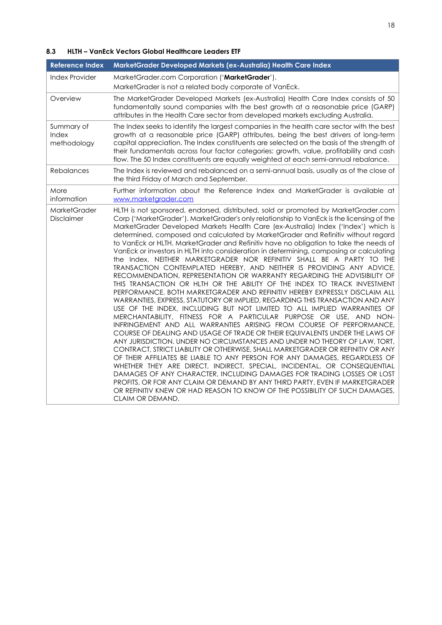# **8.3 HLTH – VanEck Vectors Global Healthcare Leaders ETF**

| <b>Reference Index</b>             | MarketGrader Developed Markets (ex-Australia) Health Care Index                                                                                                                                                                                                                                                                                                                                                                                                                                                                                                                                                                                                                                                                                                                                                                                                                                                                                                                                                                                                                                                                                                                                                                                                                                                                                                                                                                                                                                                                                                                                                                                                                                                                                                                                                                                                                                                        |
|------------------------------------|------------------------------------------------------------------------------------------------------------------------------------------------------------------------------------------------------------------------------------------------------------------------------------------------------------------------------------------------------------------------------------------------------------------------------------------------------------------------------------------------------------------------------------------------------------------------------------------------------------------------------------------------------------------------------------------------------------------------------------------------------------------------------------------------------------------------------------------------------------------------------------------------------------------------------------------------------------------------------------------------------------------------------------------------------------------------------------------------------------------------------------------------------------------------------------------------------------------------------------------------------------------------------------------------------------------------------------------------------------------------------------------------------------------------------------------------------------------------------------------------------------------------------------------------------------------------------------------------------------------------------------------------------------------------------------------------------------------------------------------------------------------------------------------------------------------------------------------------------------------------------------------------------------------------|
| Index Provider                     | MarketGrader.com Corporation ('MarketGrader').<br>MarketGrader is not a related body corporate of VanEck.                                                                                                                                                                                                                                                                                                                                                                                                                                                                                                                                                                                                                                                                                                                                                                                                                                                                                                                                                                                                                                                                                                                                                                                                                                                                                                                                                                                                                                                                                                                                                                                                                                                                                                                                                                                                              |
| Overview                           | The MarketGrader Developed Markets (ex-Australia) Health Care Index consists of 50<br>fundamentally sound companies with the best growth at a reasonable price (GARP)<br>attributes in the Health Care sector from developed markets excluding Australia.                                                                                                                                                                                                                                                                                                                                                                                                                                                                                                                                                                                                                                                                                                                                                                                                                                                                                                                                                                                                                                                                                                                                                                                                                                                                                                                                                                                                                                                                                                                                                                                                                                                              |
| Summary of<br>Index<br>methodology | The Index seeks to identify the largest companies in the health care sector with the best<br>growth at a reasonable price (GARP) attributes, being the best drivers of long-term<br>capital appreciation. The Index constituents are selected on the basis of the strength of<br>their fundamentals across four factor categories: growth, value, profitability and cash<br>flow. The 50 Index constituents are equally weighted at each semi-annual rebalance.                                                                                                                                                                                                                                                                                                                                                                                                                                                                                                                                                                                                                                                                                                                                                                                                                                                                                                                                                                                                                                                                                                                                                                                                                                                                                                                                                                                                                                                        |
| <b>Rebalances</b>                  | The Index is reviewed and rebalanced on a semi-annual basis, usually as of the close of<br>the third Friday of March and September.                                                                                                                                                                                                                                                                                                                                                                                                                                                                                                                                                                                                                                                                                                                                                                                                                                                                                                                                                                                                                                                                                                                                                                                                                                                                                                                                                                                                                                                                                                                                                                                                                                                                                                                                                                                    |
| More<br>information                | Further information about the Reference Index and MarketGrader is available at<br>www.marketgrader.com                                                                                                                                                                                                                                                                                                                                                                                                                                                                                                                                                                                                                                                                                                                                                                                                                                                                                                                                                                                                                                                                                                                                                                                                                                                                                                                                                                                                                                                                                                                                                                                                                                                                                                                                                                                                                 |
| <b>MarketGrader</b><br>Disclaimer  | HLTH is not sponsored, endorsed, distributed, sold or promoted by MarketGrader.com<br>Corp ('MarketGrader'). MarketGrader's only relationship to VanEck is the licensing of the<br>MarketGrader Developed Markets Health Care (ex-Australia) Index ('Index') which is<br>determined, composed and calculated by MarketGrader and Refinitiv without regard<br>to VanEck or HLTH. MarketGrader and Refinitiv have no obligation to take the needs of<br>VanEck or investors in HLTH into consideration in determining, composing or calculating<br>the Index. NEITHER MARKETGRADER NOR REFINITIV SHALL BE A PARTY TO THE<br>TRANSACTION CONTEMPLATED HEREBY, AND NEITHER IS PROVIDING ANY ADVICE,<br>RECOMMENDATION, REPRESENTATION OR WARRANTY REGARDING THE ADVISIBILITY OF<br>THIS TRANSACTION OR HLTH OR THE ABILITY OF THE INDEX TO TRACK INVESTMENT<br>PERFORMANCE. BOTH MARKETGRADER AND REFINITIV HEREBY EXPRESSLY DISCLAIM ALL<br>WARRANTIES, EXPRESS, STATUTORY OR IMPLIED, REGARDING THIS TRANSACTION AND ANY<br>USE OF THE INDEX, INCLUDING BUT NOT LIMITED TO ALL IMPLIED WARRANTIES OF<br>MERCHANTABILITY, FITNESS FOR A PARTICULAR PURPOSE OR USE, AND NON-<br>INFRINGEMENT AND ALL WARRANTIES ARISING FROM COURSE OF PERFORMANCE,<br>COURSE OF DEALING AND USAGE OF TRADE OR THEIR EQUIVALENTS UNDER THE LAWS OF<br>ANY JURISDICTION. UNDER NO CIRCUMSTANCES AND UNDER NO THEORY OF LAW, TORT,<br>CONTRACT, STRICT LIABILITY OR OTHERWISE, SHALL MARKETGRADER OR REFINITIV OR ANY<br>OF THEIR AFFILIATES BE LIABLE TO ANY PERSON FOR ANY DAMAGES, REGARDLESS OF<br>WHETHER THEY ARE DIRECT, INDIRECT, SPECIAL, INCIDENTAL, OR CONSEQUENTIAL<br>DAMAGES OF ANY CHARACTER, INCLUDING DAMAGES FOR TRADING LOSSES OR LOST<br>PROFITS, OR FOR ANY CLAIM OR DEMAND BY ANY THIRD PARTY, EVEN IF MARKETGRADER<br>OR REFINITIV KNEW OR HAD REASON TO KNOW OF THE POSSIBILITY OF SUCH DAMAGES,<br>CLAIM OR DEMAND. |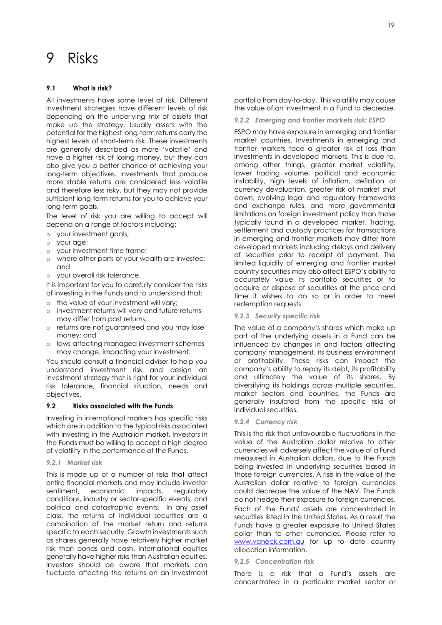# <span id="page-19-0"></span>9 Risks

# **9.1 What is risk?**

All investments have some level of risk. Different investment strategies have different levels of risk depending on the underlying mix of assets that make up the strategy. Usually assets with the potential for the highest long-term returns carry the highest levels of short-term risk. These investments are generally described as more 'volatile' and have a higher risk of losing money, but they can also give you a better chance of achieving your long-term objectives. Investments that produce more stable returns are considered less volatile and therefore less risky, but they may not provide sufficient long-term returns for you to achieve your long-term goals.

The level of risk you are willing to accept will depend on a range of factors including:

- o your investment goals;
- o your age;
- o your investment time frame;
- o where other parts of your wealth are invested; and
- o your overall risk tolerance.

It is important for you to carefully consider the risks of investing in the Funds and to understand that:

- o the value of your investment will vary;
- o investment returns will vary and future returns may differ from past returns;
- o returns are not guaranteed and you may lose money; and
- o laws affecting managed investment schemes may change, impacting your investment.

You should consult a financial adviser to help you understand investment risk and design an investment strategy that is right for your individual risk tolerance, financial situation, needs and objectives.

# **9.2 Risks associated with the Funds**

Investing in international markets has specific risks which are in addition to the typical risks associated with investing in the Australian market. Investors in the Funds must be willing to accept a high degree of volatility in the performance of the Funds.

## *9.2.1 Market risk*

This is made up of a number of risks that affect entire financial markets and may include investor sentiment, economic impacts, regulatory conditions, industry or sector-specific events, and political and catastrophic events. In any asset class, the returns of individual securities are a combination of the market return and returns specific to each security. Growth investments such as shares generally have relatively higher market risk than bonds and cash. International equities generally have higher risks than Australian equities. Investors should be aware that markets can fluctuate affecting the returns on an investment

portfolio from day-to-day. This volatility may cause the value of an investment in a Fund to decrease.

*9.2.2 Emerging and frontier markets risk: ESPO*

ESPO may have exposure in emerging and frontier market countries. Investments in emerging and frontier markets face a greater risk of loss than investments in developed markets. This is due to, among other things, greater market volatility, lower trading volume, political and economic instability, high levels of inflation, deflation or currency devaluation, greater risk of market shut down, evolving legal and regulatory frameworks and exchange rules, and more governmental limitations on foreign investment policy than those typically found in a developed market. Trading, settlement and custody practices for transactions in emerging and frontier markets may differ from developed markets including delays and delivery of securities prior to receipt of payment. The limited liquidity of emerging and frontier market country securities may also affect ESPO's ability to accurately value its portfolio securities or to acquire or dispose of securities at the price and time it wishes to do so or in order to meet redemption requests.

*9.2.3 Security specific risk*

The value of a company's shares which make up part of the underlying assets in a Fund can be influenced by changes in and factors affecting company management, its business environment or profitability. These risks can impact the company's ability to repay its debt, its profitability and ultimately the value of its shares. By diversifying its holdings across multiple securities, market sectors and countries, the Funds are generally insulated from the specific risks of individual securities.

## *9.2.4 Currency risk*

This is the risk that unfavourable fluctuations in the value of the Australian dollar relative to other currencies will adversely affect the value of a Fund measured in Australian dollars, due to the Funds being invested in underlying securities based in those foreign currencies. A rise in the value of the Australian dollar relative to foreign currencies could decrease the value of the NAV. The Funds do not hedge their exposure to foreign currencies. Each of the Funds' assets are concentrated in securities listed in the United States. As a result the Funds have a greater exposure to United States dollar than to other currencies. Please refer to [www.vaneck.com.au](http://www.vaneck.com.au/) for up to date country allocation information.

## *9.2.5 Concentration risk*

There is a risk that a Fund's assets are concentrated in a particular market sector or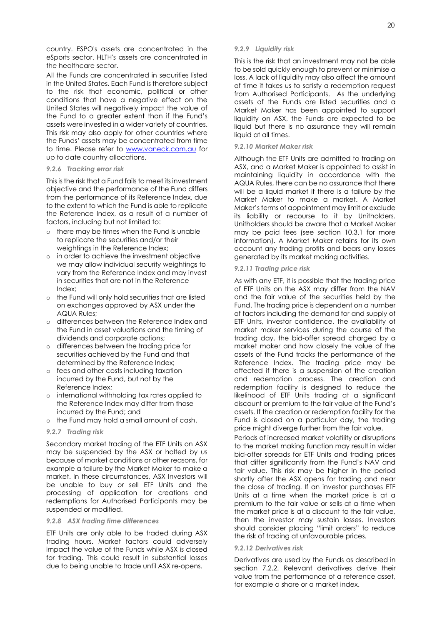country. ESPO's assets are concentrated in the eSports sector. HLTH's assets are concentrated in the healthcare sector.

All the Funds are concentrated in securities listed in the United States. Each Fund is therefore subject to the risk that economic, political or other conditions that have a negative effect on the United States will negatively impact the value of the Fund to a greater extent than if the Fund's assets were invested in a wider variety of countries. This risk may also apply for other countries where the Funds' assets may be concentrated from time to time. Please refer to [www.vaneck.com.au](http://www.vaneck.com.au/) for up to date country allocations.

### *9.2.6 Tracking error risk*

This is the risk that a Fund fails to meet its investment objective and the performance of the Fund differs from the performance of its Reference Index, due to the extent to which the Fund is able to replicate the Reference Index, as a result of a number of factors, including but not limited to:

- o there may be times when the Fund is unable to replicate the securities and/or their weightings in the Reference Index;
- o in order to achieve the investment objective we may allow individual security weightings to vary from the Reference Index and may invest in securities that are not in the Reference Index;
- o the Fund will only hold securities that are listed on exchanges approved by ASX under the AQUA Rules;
- o differences between the Reference Index and the Fund in asset valuations and the timing of dividends and corporate actions;
- o differences between the trading price for securities achieved by the Fund and that determined by the Reference Index;
- o fees and other costs including taxation incurred by the Fund, but not by the Reference Index;
- o international withholding tax rates applied to the Reference Index may differ from those incurred by the Fund; and
- o the Fund may hold a small amount of cash.

### *9.2.7 Trading risk*

Secondary market trading of the ETF Units on ASX may be suspended by the ASX or halted by us because of market conditions or other reasons, for example a failure by the Market Maker to make a market. In these circumstances, ASX Investors will be unable to buy or sell ETF Units and the processing of application for creations and redemptions for Authorised Participants may be suspended or modified.

### *9.2.8 ASX trading time differences*

ETF Units are only able to be traded during ASX trading hours. Market factors could adversely impact the value of the Funds while ASX is closed for trading. This could result in substantial losses due to being unable to trade until ASX re-opens.

### *9.2.9 Liquidity risk*

This is the risk that an investment may not be able to be sold quickly enough to prevent or minimise a loss. A lack of liquidity may also affect the amount of time it takes us to satisfy a redemption request from Authorised Participants. As the underlying assets of the Funds are listed securities and a Market Maker has been appointed to support liquidity on ASX, the Funds are expected to be liquid but there is no assurance they will remain liquid at all times.

### *9.2.10 Market Maker risk*

Although the ETF Units are admitted to trading on ASX, and a Market Maker is appointed to assist in maintaining liquidity in accordance with the AQUA Rules, there can be no assurance that there will be a liquid market if there is a failure by the Market Maker to make a market. A Market Maker's terms of appointment may limit or exclude its liability or recourse to it by Unitholders. Unitholders should be aware that a Market Maker may be paid fees (see section 10.3.1 for more information). A Market Maker retains for its own account any trading profits and bears any losses generated by its market making activities.

## *9.2.11 Trading price risk*

As with any ETF, it is possible that the trading price of ETF Units on the ASX may differ from the NAV and the fair value of the securities held by the Fund. The trading price is dependent on a number of factors including the demand for and supply of ETF Units, investor confidence, the availability of market maker services during the course of the trading day, the bid-offer spread charged by a market maker and how closely the value of the assets of the Fund tracks the performance of the Reference Index. The trading price may be affected if there is a suspension of the creation and redemption process. The creation and redemption facility is designed to reduce the likelihood of ETF Units trading at a significant discount or premium to the fair value of the Fund's assets. If the creation or redemption facility for the Fund is closed on a particular day, the trading price might diverge further from the fair value.

Periods of increased market volatility or disruptions to the market making function may result in wider bid-offer spreads for ETF Units and trading prices that differ significantly from the Fund's NAV and fair value. This risk may be higher in the period shortly after the ASX opens for trading and near the close of trading. If an investor purchases ETF Units at a time when the market price is at a premium to the fair value or sells at a time when the market price is at a discount to the fair value, then the investor may sustain losses. Investors should consider placing "limit orders" to reduce the risk of trading at unfavourable prices.

## *9.2.12 Derivatives risk*

Derivatives are used by the Funds as described in section 7.2.2. Relevant derivatives derive their value from the performance of a reference asset, for example a share or a market index.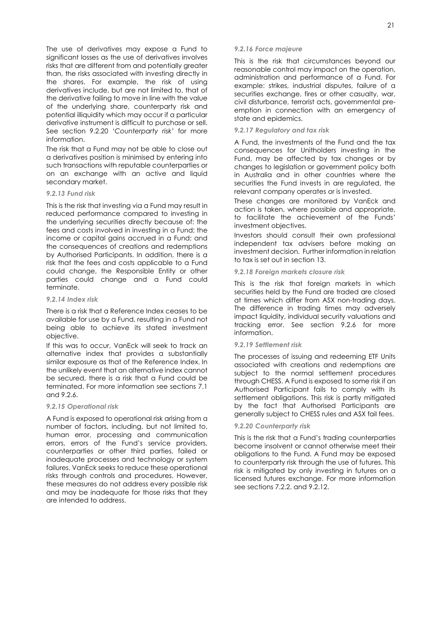The use of derivatives may expose a Fund to significant losses as the use of derivatives involves risks that are different from and potentially greater than, the risks associated with investing directly in the shares. For example, the risk of using derivatives include, but are not limited to, that of the derivative failing to move in line with the value of the underlying share, counterparty risk and potential illiquidity which may occur if a particular derivative instrument is difficult to purchase or sell. See section 9.2.20 *'Counterparty risk'* for more information.

The risk that a Fund may not be able to close out a derivatives position is minimised by entering into such transactions with reputable counterparties or on an exchange with an active and liquid secondary market.

### *9.2.13 Fund risk*

This is the risk that investing via a Fund may result in reduced performance compared to investing in the underlying securities directly because of: the fees and costs involved in investing in a Fund; the income or capital gains accrued in a Fund; and the consequences of creations and redemptions by Authorised Participants. In addition, there is a risk that the fees and costs applicable to a Fund could change, the Responsible Entity or other parties could change and a Fund could terminate.

## *9.2.14 Index risk*

There is a risk that a Reference Index ceases to be available for use by a Fund, resulting in a Fund not being able to achieve its stated investment objective.

If this was to occur, VanEck will seek to track an alternative index that provides a substantially similar exposure as that of the Reference Index. In the unlikely event that an alternative index cannot be secured, there is a risk that a Fund could be terminated. For more information see sections 7.1 and 9.2.6.

## *9.2.15 Operational risk*

A Fund is exposed to operational risk arising from a number of factors, including, but not limited to, human error, processing and communication errors, errors of the Fund's service providers, counterparties or other third parties, failed or inadequate processes and technology or system failures. VanEck seeks to reduce these operational risks through controls and procedures. However, these measures do not address every possible risk and may be inadequate for those risks that they are intended to address.

#### *9.2.16 Force majeure*

This is the risk that circumstances beyond our reasonable control may impact on the operation, administration and performance of a Fund. For example: strikes, industrial disputes, failure of a securities exchange, fires or other casualty, war, civil disturbance, terrorist acts, governmental preemption in connection with an emergency of state and epidemics.

### *9.2.17 Regulatory and tax risk*

A Fund, the investments of the Fund and the tax consequences for Unitholders investing in the Fund, may be affected by tax changes or by changes to legislation or government policy both in Australia and in other countries where the securities the Fund invests in are regulated, the relevant company operates or is invested.

These changes are monitored by VanEck and action is taken, where possible and appropriate, to facilitate the achievement of the Funds' investment objectives.

Investors should consult their own professional independent tax advisers before making an investment decision. Further information in relation to tax is set out in section 13.

## *9.2.18 Foreign markets closure risk*

This is the risk that foreign markets in which securities held by the Fund are traded are closed at times which differ from ASX non-trading days. The difference in trading times may adversely impact liquidity, individual security valuations and tracking error. See section 9.2.6 for more information.

## *9.2.19 Settlement risk*

The processes of issuing and redeeming ETF Units associated with creations and redemptions are subject to the normal settlement procedures through CHESS. A Fund is exposed to some risk if an Authorised Participant fails to comply with its settlement obligations. This risk is partly mitigated by the fact that Authorised Participants are generally subject to CHESS rules and ASX fail fees.

## *9.2.20 Counterparty risk*

This is the risk that a Fund's trading counterparties become insolvent or cannot otherwise meet their obligations to the Fund. A Fund may be exposed to counterparty risk through the use of futures. This risk is mitigated by only investing in futures on a licensed futures exchange. For more information see sections 7.2.2. and 9.2.12.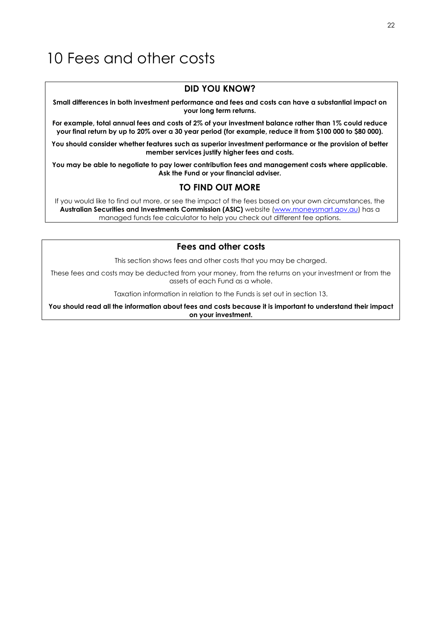# <span id="page-22-0"></span>10 Fees and other costs

# **DID YOU KNOW?**

**Small differences in both investment performance and fees and costs can have a substantial impact on your long term returns.**

**For example, total annual fees and costs of 2% of your investment balance rather than 1% could reduce your final return by up to 20% over a 30 year period (for example, reduce it from \$100 000 to \$80 000).**

**You should consider whether features such as superior investment performance or the provision of better member services justify higher fees and costs.**

**You may be able to negotiate to pay lower contribution fees and management costs where applicable. Ask the Fund or your financial adviser.**

# **TO FIND OUT MORE**

If you would like to find out more, or see the impact of the fees based on your own circumstances, the Australian Securities and Investments Commission (ASIC) website [\(www.moneysmart.gov.au\)](https://moneysmart.gov.au/) has a managed funds fee calculator to help you check out different fee options.

# **Fees and other costs**

This section shows fees and other costs that you may be charged.

These fees and costs may be deducted from your money, from the returns on your investment or from the assets of each Fund as a whole.

Taxation information in relation to the Funds is set out in section 13.

**You should read all the information about fees and costs because it is important to understand their impact on your investment.**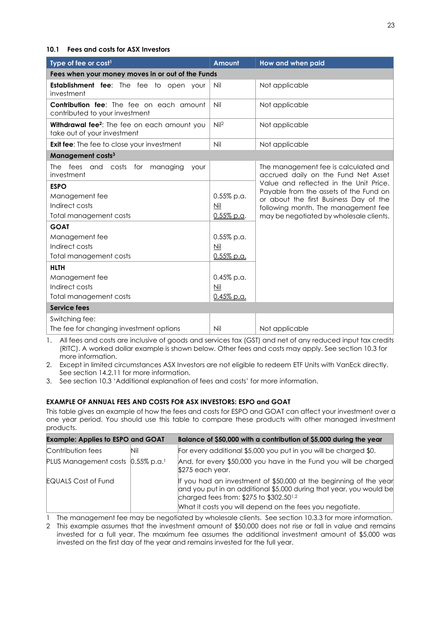# **10.1 Fees and costs for ASX Investors**

| Type of fee or cost <sup>1</sup>                                                        | <b>Amount</b>                                     | How and when paid                                                                |  |
|-----------------------------------------------------------------------------------------|---------------------------------------------------|----------------------------------------------------------------------------------|--|
|                                                                                         | Fees when your money moves in or out of the Funds |                                                                                  |  |
| <b>Establishment fee:</b> The fee to open your<br>investment                            | Nil                                               | Not applicable                                                                   |  |
| <b>Contribution fee:</b> The fee on each amount<br>contributed to your investment       | Nil                                               | Not applicable                                                                   |  |
| Withdrawal fee <sup>2</sup> : The fee on each amount you<br>take out of your investment | Nil <sup>2</sup>                                  | Not applicable                                                                   |  |
| <b>Exit fee:</b> The fee to close your investment                                       | Nil                                               | Not applicable                                                                   |  |
| Management costs <sup>3</sup>                                                           |                                                   |                                                                                  |  |
| The fees and costs<br>for<br>managing<br>your<br>investment                             |                                                   | The management fee is calculated and<br>accrued daily on the Fund Net Asset      |  |
| <b>ESPO</b>                                                                             |                                                   | Value and reflected in the Unit Price.<br>Payable from the assets of the Fund on |  |
| Management fee                                                                          | $0.55\%$ p.a.                                     | or about the first Business Day of the                                           |  |
| Indirect costs                                                                          | Nil                                               | following month. The management fee                                              |  |
| Total management costs                                                                  | $0.55\%$ p.a.                                     | may be negotiated by wholesale clients.                                          |  |
| <b>GOAT</b>                                                                             |                                                   |                                                                                  |  |
| Management fee                                                                          | $0.55\%$ p.a.                                     |                                                                                  |  |
| Indirect costs                                                                          | $Mil$                                             |                                                                                  |  |
| Total management costs                                                                  | $0.55\%$ p.a.                                     |                                                                                  |  |
| <b>HLTH</b>                                                                             |                                                   |                                                                                  |  |
| Management fee                                                                          | $0.45\%$ p.a.                                     |                                                                                  |  |
| Indirect costs                                                                          | Nil                                               |                                                                                  |  |
| Total management costs                                                                  | 0.45% p.a.                                        |                                                                                  |  |
| <b>Service fees</b>                                                                     |                                                   |                                                                                  |  |
| Switching fee:                                                                          |                                                   |                                                                                  |  |
| The fee for changing investment options                                                 | Nil                                               | Not applicable                                                                   |  |

1. All fees and costs are inclusive of goods and services tax (GST) and net of any reduced input tax credits (RITC). A worked dollar example is shown below. Other fees and costs may apply. See section 10.3 for more information.

2. Except in limited circumstances ASX Investors are not eligible to redeem ETF Units with VanEck directly. See section 14.2.11 for more information.

3. See section 10.3 'Additional explanation of fees and costs' for more information.

# **EXAMPLE OF ANNUAL FEES AND COSTS FOR ASX INVESTORS: ESPO and GOAT**

This table gives an example of how the fees and costs for ESPO and GOAT can affect your investment over a one year period. You should use this table to compare these products with other managed investment products.

| <b>Example: Applies to ESPO and GOAT</b>      |     | Balance of \$50,000 with a contribution of \$5,000 during the year                                                                                                                                                                                          |
|-----------------------------------------------|-----|-------------------------------------------------------------------------------------------------------------------------------------------------------------------------------------------------------------------------------------------------------------|
| Contribution fees                             | Nil | For every additional \$5,000 you put in you will be charged \$0.                                                                                                                                                                                            |
| PLUS Management costs 0.55% p.a. <sup>1</sup> |     | And, for every \$50,000 you have in the Fund you will be charged<br>\$275 each year.                                                                                                                                                                        |
| <b>EQUALS Cost of Fund</b>                    |     | If you had an investment of \$50,000 at the beginning of the year<br>and you put in an additional \$5,000 during that year, you would be<br>charged fees from: \$275 to \$302.50 <sup>1,2</sup><br>What it costs you will depend on the fees you negotiate. |

1 The management fee may be negotiated by wholesale clients. See section 10.3.3 for more information.

2 This example assumes that the investment amount of \$50,000 does not rise or fall in value and remains invested for a full year. The maximum fee assumes the additional investment amount of \$5,000 was invested on the first day of the year and remains invested for the full year.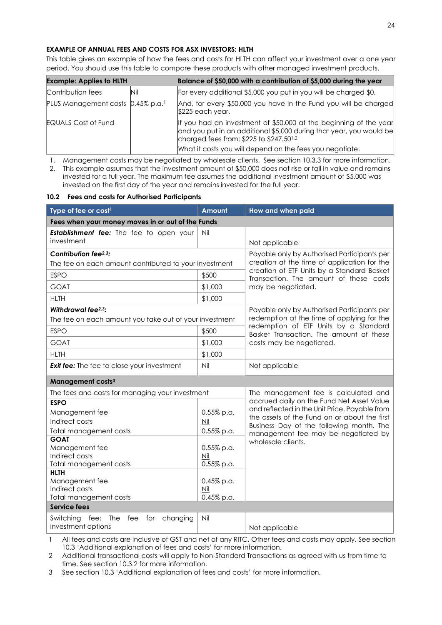# **EXAMPLE OF ANNUAL FEES AND COSTS FOR ASX INVESTORS: HLTH**

This table gives an example of how the fees and costs for HLTH can affect your investment over a one year period. You should use this table to compare these products with other managed investment products.

| <b>Example: Applies to HLTH</b>               |     | Balance of \$50,000 with a contribution of \$5,000 during the year                                                                                                                                                                                          |
|-----------------------------------------------|-----|-------------------------------------------------------------------------------------------------------------------------------------------------------------------------------------------------------------------------------------------------------------|
| Contribution fees                             | Nil | For every additional \$5,000 you put in you will be charged \$0.                                                                                                                                                                                            |
| PLUS Management costs 0.45% p.a. <sup>1</sup> |     | And, for every \$50,000 you have in the Fund you will be charged<br>\$225 each year.                                                                                                                                                                        |
| <b>EQUALS Cost of Fund</b>                    |     | If you had an investment of \$50,000 at the beginning of the year<br>and you put in an additional \$5,000 during that year, you would be<br>charged fees from: \$225 to \$247.50 <sup>1,2</sup><br>What it costs you will depend on the fees you negotiate. |

1. Management costs may be negotiated by wholesale clients. See section 10.3.3 for more information.

2. This example assumes that the investment amount of \$50,000 does not rise or fall in value and remains invested for a full year. The maximum fee assumes the additional investment amount of \$5,000 was invested on the first day of the year and remains invested for the full year.

## **10.2 Fees and costs for Authorised Participants**

| Type of fee or cost <sup>1</sup>                             | Amount                   | How and when paid                                                                          |  |
|--------------------------------------------------------------|--------------------------|--------------------------------------------------------------------------------------------|--|
| Fees when your money moves in or out of the Funds            |                          |                                                                                            |  |
| <b>Establishment fee:</b> The fee to open your<br>investment | Nil                      | Not applicable                                                                             |  |
| Contribution fee <sup>2,3</sup> :                            |                          | Payable only by Authorised Participants per<br>creation at the time of application for the |  |
| The fee on each amount contributed to your investment        |                          |                                                                                            |  |
| <b>ESPO</b>                                                  | \$500                    | creation of ETF Units by a Standard Basket<br>Transaction. The amount of these costs       |  |
| <b>GOAT</b>                                                  | \$1,000                  | may be negotiated.                                                                         |  |
| <b>HLTH</b>                                                  | \$1,000                  |                                                                                            |  |
| Withdrawal fee <sup>2,3</sup> :                              |                          | Payable only by Authorised Participants per                                                |  |
| The fee on each amount you take out of your investment       |                          | redemption at the time of applying for the<br>redemption of ETF Units by a Standard        |  |
| <b>ESPO</b>                                                  | \$500                    | Basket Transaction. The amount of these                                                    |  |
| <b>GOAT</b>                                                  | \$1,000                  | costs may be negotiated.                                                                   |  |
| <b>HLTH</b>                                                  | \$1,000                  |                                                                                            |  |
| <b>Exit fee:</b> The fee to close your investment            | Nil                      | Not applicable                                                                             |  |
| Management costs <sup>3</sup>                                |                          |                                                                                            |  |
| The fees and costs for managing your investment              |                          | The management fee is calculated and                                                       |  |
| <b>ESPO</b>                                                  |                          | accrued daily on the Fund Net Asset Value<br>and reflected in the Unit Price. Payable from |  |
| Management fee                                               | $0.55\%$ p.a.            | the assets of the Fund on or about the first                                               |  |
| Indirect costs                                               | $\underline{\text{Nil}}$ | Business Day of the following month. The                                                   |  |
| Total management costs                                       | $0.55\%$ p.a.            | management fee may be negotiated by                                                        |  |
| <b>GOAT</b><br>Management fee                                | $0.55\%$ p.a.            | wholesale clients.                                                                         |  |
| Indirect costs                                               | Nil                      |                                                                                            |  |
| Total management costs                                       | 0.55% p.a.               |                                                                                            |  |
| <b>HLTH</b>                                                  |                          |                                                                                            |  |
| Management fee                                               | 0.45% p.a.               |                                                                                            |  |
| Indirect costs                                               | Nil                      |                                                                                            |  |
| Total management costs<br><b>Service fees</b>                | 0.45% p.a.               |                                                                                            |  |
|                                                              |                          |                                                                                            |  |
| Switching<br>fee: The<br>fee<br>for<br>changing              | Nil                      |                                                                                            |  |
| investment options                                           |                          | Not applicable                                                                             |  |

1 All fees and costs are inclusive of GST and net of any RITC. Other fees and costs may apply. See section 10.3 'Additional explanation of fees and costs' for more information.

2 Additional transactional costs will apply to Non-Standard Transactions as agreed with us from time to time. See section 10.3.2 for more information.

3 See section 10.3 'Additional explanation of fees and costs' for more information.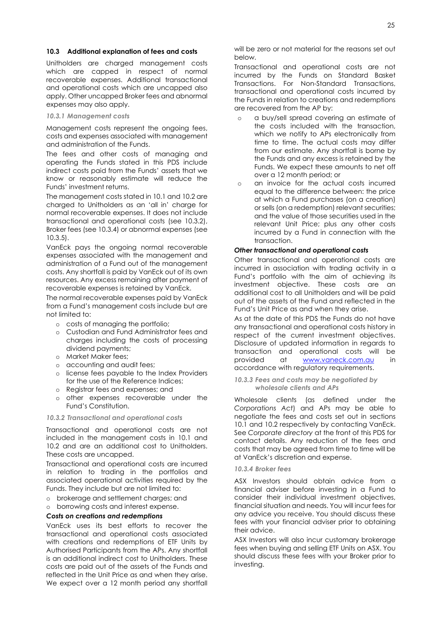## **10.3 Additional explanation of fees and costs**

Unitholders are charged management costs which are capped in respect of normal recoverable expenses. Additional transactional and operational costs which are uncapped also apply. Other uncapped Broker fees and abnormal expenses may also apply.

*10.3.1 Management costs*

Management costs represent the ongoing fees, costs and expenses associated with management and administration of the Funds.

The fees and other costs of managing and operating the Funds stated in this PDS include indirect costs paid from the Funds' assets that we know or reasonably estimate will reduce the Funds' investment returns.

The management costs stated in 10.1 and 10.2 are charged to Unitholders as an 'all in' charge for normal recoverable expenses. It does not include transactional and operational costs (see 10.3.2), Broker fees (see 10.3.4) or abnormal expenses (see 10.3.5).

VanEck pays the ongoing normal recoverable expenses associated with the management and administration of a Fund out of the management costs. Any shortfall is paid by VanEck out of its own resources. Any excess remaining after payment of recoverable expenses is retained by VanEck.

The normal recoverable expenses paid by VanEck from a Fund's management costs include but are not limited to:

- o costs of managing the portfolio;
- o Custodian and Fund Administrator fees and charges including the costs of processing dividend payments;
- o Market Maker fees;
- o accounting and audit fees;
- o license fees payable to the Index Providers for the use of the Reference Indices;
- o Registrar fees and expenses; and
- o other expenses recoverable under the Fund's Constitution.

#### *10.3.2 Transactional and operational costs*

Transactional and operational costs are not included in the management costs in 10.1 and 10.2 and are an additional cost to Unitholders. These costs are uncapped.

Transactional and operational costs are incurred in relation to trading in the portfolios and associated operational activities required by the Funds. They include but are not limited to:

- o brokerage and settlement charges; and
- o borrowing costs and interest expense.

## *Costs on creations and redemptions*

VanEck uses its best efforts to recover the transactional and operational costs associated with creations and redemptions of ETF Units by Authorised Participants from the APs. Any shortfall is an additional indirect cost to Unitholders. These costs are paid out of the assets of the Funds and reflected in the Unit Price as and when they arise. We expect over a 12 month period any shortfall

will be zero or not material for the reasons set out below.

Transactional and operational costs are not incurred by the Funds on Standard Basket Transactions. For Non-Standard Transactions, transactional and operational costs incurred by the Funds in relation to creations and redemptions are recovered from the AP by:

- o a buy/sell spread covering an estimate of the costs included with the transaction, which we notify to APs electronically from time to time. The actual costs may differ from our estimate. Any shortfall is borne by the Funds and any excess is retained by the Funds. We expect these amounts to net off over a 12 month period; or
- o an invoice for the actual costs incurred equal to the difference between: the price at which a Fund purchases (on a creation) or sells (on a redemption) relevant securities; and the value of those securities used in the relevant Unit Price; plus any other costs incurred by a Fund in connection with the transaction.

## *Other transactional and operational costs*

Other transactional and operational costs are incurred in association with trading activity in a Fund's portfolio with the aim of achieving its investment objective. These costs are an additional cost to all Unitholders and will be paid out of the assets of the Fund and reflected in the Fund's Unit Price as and when they arise.

As at the date of this PDS the Funds do not have any transactional and operational costs history in respect of the current investment objectives. Disclosure of updated information in regards to transaction and operational costs will be provided at **[www.vaneck.com.au](http://www.vaneck.com.au/)** in accordance with regulatory requirements.

### *10.3.3 Fees and costs may be negotiated by wholesale clients and APs*

Wholesale clients (as defined under the *Corporations Act*) and APs may be able to negotiate the fees and costs set out in sections 10.1 and 10.2 respectively by contacting VanEck. See *Corporate directory* at the front of this PDS for contact details. Any reduction of the fees and costs that may be agreed from time to time will be at VanEck's discretion and expense.

## *10.3.4 Broker fees*

ASX Investors should obtain advice from a financial adviser before investing in a Fund to consider their individual investment objectives, financial situation and needs. You will incur fees for any advice you receive. You should discuss these fees with your financial adviser prior to obtaining their advice.

ASX Investors will also incur customary brokerage fees when buying and selling ETF Units on ASX. You should discuss these fees with your Broker prior to investing.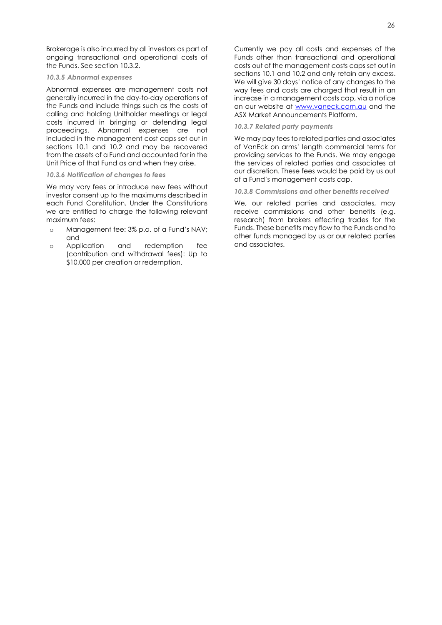Brokerage is also incurred by all investors as part of ongoing transactional and operational costs of the Funds. See section 10.3.2.

## *10.3.5 Abnormal expenses*

Abnormal expenses are management costs not generally incurred in the day-to-day operations of the Funds and include things such as the costs of calling and holding Unitholder meetings or legal costs incurred in bringing or defending legal proceedings. Abnormal expenses are not included in the management cost caps set out in sections 10.1 and 10.2 and may be recovered from the assets of a Fund and accounted for in the Unit Price of that Fund as and when they arise.

## *10.3.6 Notification of changes to fees*

We may vary fees or introduce new fees without investor consent up to the maximums described in each Fund Constitution. Under the Constitutions we are entitled to charge the following relevant maximum fees:

- o Management fee: 3% p.a. of a Fund's NAV; and
- o Application and redemption fee (contribution and withdrawal fees): Up to \$10,000 per creation or redemption.

Currently we pay all costs and expenses of the Funds other than transactional and operational costs out of the management costs caps set out in sections 10.1 and 10.2 and only retain any excess. We will give 30 days' notice of any changes to the way fees and costs are charged that result in an increase in a management costs cap, via a notice on our website at [www.vaneck.com.au](http://www.vaneck.com.au/) and the ASX Market Announcements Platform.

# *10.3.7 Related party payments*

We may pay fees to related parties and associates of VanEck on arms' length commercial terms for providing services to the Funds. We may engage the services of related parties and associates at our discretion. These fees would be paid by us out of a Fund's management costs cap.

# *10.3.8 Commissions and other benefits received*

We, our related parties and associates, may receive commissions and other benefits (e.g. research) from brokers effecting trades for the Funds. These benefits may flow to the Funds and to other funds managed by us or our related parties and associates.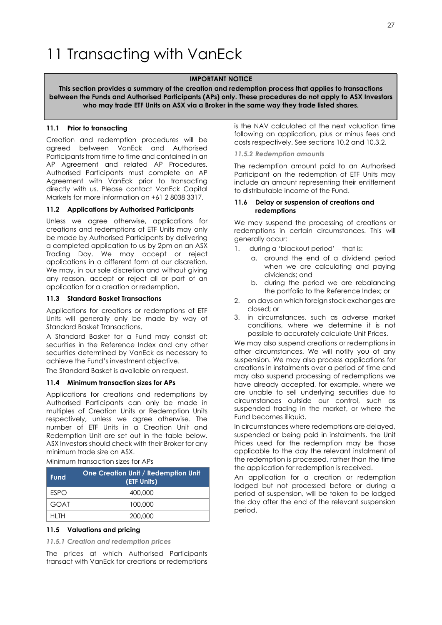# <span id="page-27-0"></span>11 Transacting with VanEck

# **IMPORTANT NOTICE**

**This section provides a summary of the creation and redemption process that applies to transactions between the Funds and Authorised Participants (APs) only. These procedures do not apply to ASX Investors who may trade ETF Units on ASX via a Broker in the same way they trade listed shares.**

# **11.1 Prior to transacting**

Creation and redemption procedures will be agreed between VanEck and Authorised Participants from time to time and contained in an AP Agreement and related AP Procedures. Authorised Participants must complete an AP Agreement with VanEck prior to transacting directly with us. Please contact VanEck Capital Markets for more information on +61 2 8038 3317.

# **11.2 Applications by Authorised Participants**

Unless we agree otherwise, applications for creations and redemptions of ETF Units may only be made by Authorised Participants by delivering a completed application to us by 2pm on an ASX Trading Day. We may accept or reject applications in a different form at our discretion. We may, in our sole discretion and without giving any reason, accept or reject all or part of an application for a creation or redemption.

# **11.3 Standard Basket Transactions**

Applications for creations or redemptions of ETF Units will generally only be made by way of Standard Basket Transactions.

A Standard Basket for a Fund may consist of: securities in the Reference Index and any other securities determined by VanEck as necessary to achieve the Fund's investment objective.

The Standard Basket is available on request.

# **11.4 Minimum transaction sizes for APs**

Applications for creations and redemptions by Authorised Participants can only be made in multiples of Creation Units or Redemption Units respectively, unless we agree otherwise. The number of ETF Units in a Creation Unit and Redemption Unit are set out in the table below. ASX Investors should check with their Broker for any minimum trade size on ASX.

Minimum transaction sizes for APs

| <b>Fund</b> | <b>One Creation Unit / Redemption Unit</b><br>(ETF Units) |
|-------------|-----------------------------------------------------------|
| <b>FSPO</b> | 400,000                                                   |
| GOAT        | 100,000                                                   |
| HI TH       | 200,000                                                   |

# **11.5 Valuations and pricing**

*11.5.1 Creation and redemption prices*

The prices at which Authorised Participants transact with VanEck for creations or redemptions

is the NAV calculated at the next valuation time following an application, plus or minus fees and costs respectively. See sections 10.2 and 10.3.2.

## *11.5.2 Redemption amounts*

The redemption amount paid to an Authorised Participant on the redemption of ETF Units may include an amount representing their entitlement to distributable income of the Fund.

## **11.6 Delay or suspension of creations and redemptions**

We may suspend the processing of creations or redemptions in certain circumstances. This will generally occur:

- 1. during a 'blackout period' that is:
	- a. around the end of a dividend period when we are calculating and paying dividends; and
	- b. during the period we are rebalancing the portfolio to the Reference Index; or
- 2. on days on which foreign stock exchanges are closed; or
- 3. in circumstances, such as adverse market conditions, where we determine it is not possible to accurately calculate Unit Prices.

We may also suspend creations or redemptions in other circumstances. We will notify you of any suspension. We may also process applications for creations in instalments over a period of time and may also suspend processing of redemptions we have already accepted, for example, where we are unable to sell underlying securities due to circumstances outside our control, such as suspended trading in the market, or where the Fund becomes illiquid.

In circumstances where redemptions are delayed, suspended or being paid in instalments, the Unit Prices used for the redemption may be those applicable to the day the relevant instalment of the redemption is processed, rather than the time the application for redemption is received.

An application for a creation or redemption lodged but not processed before or during a period of suspension, will be taken to be lodged the day after the end of the relevant suspension period.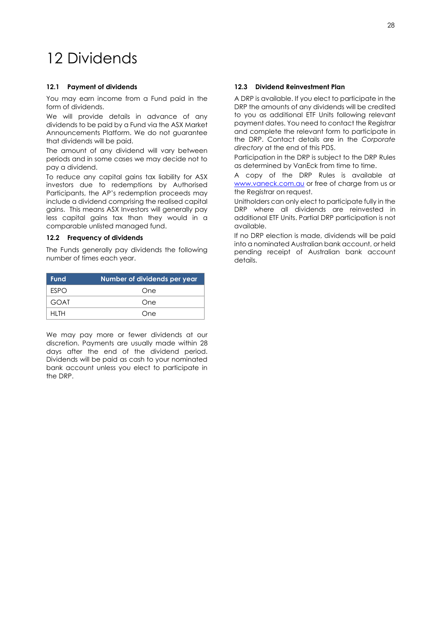# <span id="page-28-0"></span>12 Dividends

# **12.1 Payment of dividends**

You may earn income from a Fund paid in the form of dividends.

We will provide details in advance of any dividends to be paid by a Fund via the ASX Market Announcements Platform. We do not guarantee that dividends will be paid.

The amount of any dividend will vary between periods and in some cases we may decide not to pay a dividend.

To reduce any capital gains tax liability for ASX investors due to redemptions by Authorised Participants, the AP's redemption proceeds may include a dividend comprising the realised capital gains. This means ASX Investors will generally pay less capital gains tax than they would in a comparable unlisted managed fund.

# **12.2 Frequency of dividends**

The Funds generally pay dividends the following number of times each year.

| <b>Fund</b> | Number of dividends per year |
|-------------|------------------------------|
| <b>FSPO</b> | One                          |
| <b>GOAT</b> | One                          |
| HI TH       | One                          |

We may pay more or fewer dividends at our discretion. Payments are usually made within 28 days after the end of the dividend period. Dividends will be paid as cash to your nominated bank account unless you elect to participate in the DRP.

# **12.3 Dividend Reinvestment Plan**

A DRP is available. If you elect to participate in the DRP the amounts of any dividends will be credited to you as additional ETF Units following relevant payment dates. You need to contact the Reaistrar and complete the relevant form to participate in the DRP. Contact details are in the *Corporate directory* at the end of this PDS.

Participation in the DRP is subject to the DRP Rules as determined by VanEck from time to time.

A copy of the DRP Rules is available at [www.vaneck.com.au](http://www.vaneck.com.au/) or free of charge from us or the Registrar on request.

Unitholders can only elect to participate fully in the DRP where all dividends are reinvested in additional ETF Units. Partial DRP participation is not available.

If no DRP election is made, dividends will be paid into a nominated Australian bank account, or held pending receipt of Australian bank account details.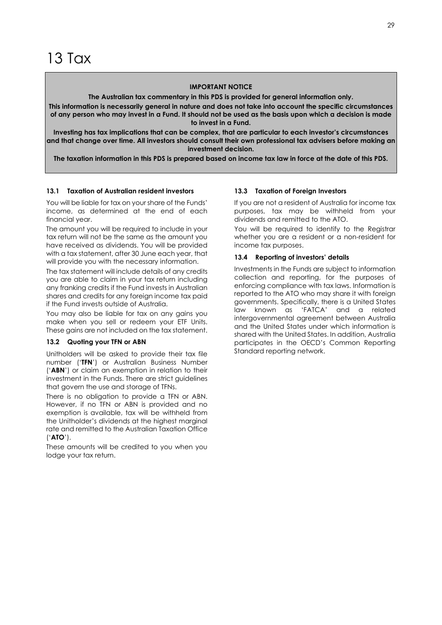## **IMPORTANT NOTICE**

**The Australian tax commentary in this PDS is provided for general information only.**

<span id="page-29-0"></span>**This information is necessarily general in nature and does not take into account the specific circumstances of any person who may invest in a Fund. It should not be used as the basis upon which a decision is made to invest in a Fund.**

**Investing has tax implications that can be complex, that are particular to each investor's circumstances and that change over time. All investors should consult their own professional tax advisers before making an investment decision.**

**The taxation information in this PDS is prepared based on income tax law in force at the date of this PDS.**

# **13.1 Taxation of Australian resident investors**

You will be liable for tax on your share of the Funds' income, as determined at the end of each financial year.

The amount you will be required to include in your tax return will not be the same as the amount you have received as dividends. You will be provided with a tax statement, after 30 June each year, that will provide you with the necessary information.

The tax statement will include details of any credits you are able to claim in your tax return including any franking credits if the Fund invests in Australian shares and credits for any foreign income tax paid if the Fund invests outside of Australia.

You may also be liable for tax on any gains you make when you sell or redeem your ETF Units. These gains are not included on the tax statement.

## **13.2 Quoting your TFN or ABN**

Unitholders will be asked to provide their tax file number ('**TFN**') or Australian Business Number ('**ABN**') or claim an exemption in relation to their investment in the Funds. There are strict guidelines that govern the use and storage of TFNs.

There is no obligation to provide a TFN or ABN. However, if no TFN or ABN is provided and no exemption is available, tax will be withheld from the Unitholder's dividends at the highest marginal rate and remitted to the Australian Taxation Office ('**ATO**').

These amounts will be credited to you when you lodge your tax return.

## **13.3 Taxation of Foreign Investors**

If you are not a resident of Australia for income tax purposes, tax may be withheld from your dividends and remitted to the ATO.

You will be required to identify to the Registrar whether you are a resident or a non-resident for income tax purposes.

### **13.4 Reporting of investors' details**

Investments in the Funds are subject to information collection and reporting, for the purposes of enforcing compliance with tax laws. Information is reported to the ATO who may share it with foreign governments. Specifically, there is a United States law known as 'FATCA' and a related intergovernmental agreement between Australia and the United States under which information is shared with the United States. In addition, Australia participates in the OECD's Common Reporting Standard reporting network.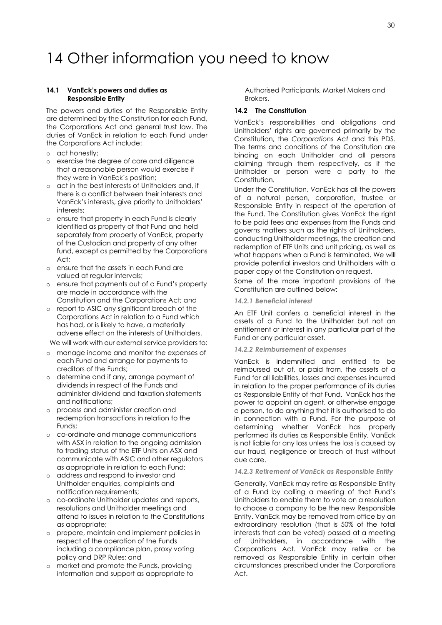# <span id="page-30-0"></span>14 Other information you need to know

## **14.1 VanEck's powers and duties as Responsible Entity**

The powers and duties of the Responsible Entity are determined by the Constitution for each Fund, the Corporations Act and general trust law. The duties of VanEck in relation to each Fund under the Corporations Act include:

- o act honestly;
- o exercise the degree of care and diligence that a reasonable [person](http://www.austlii.edu.au/au/legis/cth/consol_act/ca2001172/s761a.html#person?stem=0&synonyms=0&query=601FC) would exercise if they were in VanEck's position;
- o act in the best interests of Unitholders and, if there is a conflict between their interests and VanEck's interests, give priority to Unitholders' interests;
- o ensure that property in each Fund is clearly identified as property of that Fund and held separately from property of VanEck, property of the Custodian and property of any other fund, except as permitted by the Corporations Act;
- o ensure that the assets in each Fund are valued at regular intervals;
- o ensure that payments out of a Fund's property are made in accordance with the Constitution and the Corporations Act; and
- o report to ASIC any significant breach of the Corporations Act in relation to a Fund which has had, or is likely to have, a materially adverse effect on the interests of Unitholders.

We will work with our external service providers to:

- o manage income and monitor the expenses of each Fund and arrange for payments to creditors of the Funds;
- o determine and if any, arrange payment of dividends in respect of the Funds and administer dividend and taxation statements and notifications;
- o process and administer creation and redemption transactions in relation to the Funds;
- o co-ordinate and manage communications with ASX in relation to the ongoing admission to trading status of the ETF Units on ASX and communicate with ASIC and other regulators as appropriate in relation to each Fund;
- o address and respond to investor and Unitholder enquiries, complaints and notification requirements;
- o co-ordinate Unitholder updates and reports, resolutions and Unitholder meetings and attend to issues in relation to the Constitutions as appropriate;
- o prepare, maintain and implement policies in respect of the operation of the Funds including a compliance plan, proxy voting policy and DRP Rules; and
- o market and promote the Funds, providing information and support as appropriate to

Authorised Participants, Market Makers and Brokers.

# **14.2 The Constitution**

VanEck's responsibilities and obligations and Unitholders' rights are governed primarily by the Constitution, the *Corporations Act* and this PDS. The terms and conditions of the Constitution are binding on each Unitholder and all persons claiming through them respectively, as if the Unitholder or person were a party to the Constitution.

Under the Constitution, VanEck has all the powers of a natural person, corporation, trustee or Responsible Entity in respect of the operation of the Fund. The Constitution gives VanEck the right to be paid fees and expenses from the Funds and governs matters such as the rights of Unitholders, conducting Unitholder meetings, the creation and redemption of ETF Units and unit pricing, as well as what happens when a Fund is terminated. We will provide potential investors and Unitholders with a paper copy of the Constitution on request.

Some of the more important provisions of the Constitution are outlined below:

## *14.2.1 Beneficial interest*

An ETF Unit confers a beneficial interest in the assets of a Fund to the Unitholder but not an entitlement or interest in any particular part of the Fund or any particular asset.

#### *14.2.2 Reimbursement of expenses*

VanEck is indemnified and entitled to be reimbursed out of, or paid from, the assets of a Fund for all liabilities, losses and expenses incurred in relation to the proper performance of its duties as Responsible Entity of that Fund. VanEck has the power to appoint an agent, or otherwise engage a person, to do anything that it is authorised to do in connection with a Fund. For the purpose of determining whether VanEck has properly performed its duties as Responsible Entity, VanEck is not liable for any loss unless the loss is caused by our fraud, negligence or breach of trust without due care.

## *14.2.3 Retirement of VanEck as Responsible Entity*

Generally, VanEck may retire as Responsible Entity of a Fund by calling a meeting of that Fund's Unitholders to enable them to vote on a resolution to choose a company to be the new Responsible Entity. VanEck may be removed from office by an extraordinary resolution (that is 50% of the total interests that can be voted) passed at a meeting of Unitholders, in accordance with the Corporations Act. VanEck may retire or be removed as Responsible Entity in certain other circumstances prescribed under the Corporations Act.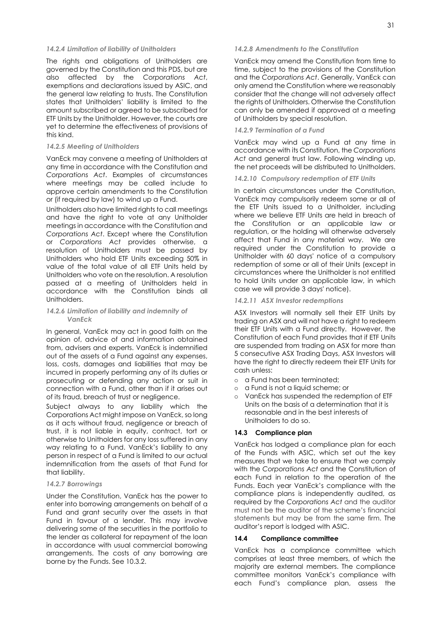### *14.2.4 Limitation of liability of Unitholders*

The rights and obligations of Unitholders are governed by the Constitution and this PDS, but are also affected by the *Corporations Act*, exemptions and declarations issued by ASIC, and the general law relating to trusts. The Constitution states that Unitholders' liability is limited to the amount subscribed or agreed to be subscribed for ETF Units by the Unitholder. However, the courts are yet to determine the effectiveness of provisions of this kind.

#### *14.2.5 Meeting of Unitholders*

VanEck may convene a meeting of Unitholders at any time in accordance with the Constitution and *Corporations Act*. Examples of circumstances where meetings may be called include to approve certain amendments to the Constitution or (if required by law) to wind up a Fund.

Unitholders also have limited rights to call meetings and have the right to vote at any Unitholder meetings in accordance with the Constitution and *Corporations Act*. Except where the Constitution or *Corporations Act* provides otherwise, a resolution of Unitholders must be passed by Unitholders who hold ETF Units exceeding 50% in value of the total value of all ETF Units held by Unitholders who vote on the resolution. A resolution passed at a meeting of Unitholders held in accordance with the Constitution binds all Unitholders.

### *14.2.6 Limitation of liability and indemnity of VanEck*

In general, VanEck may act in good faith on the opinion of, advice of and information obtained from, advisers and experts. VanEck is indemnified out of the assets of a Fund against any expenses, loss, costs, damages and liabilities that may be incurred in properly performing any of its duties or prosecuting or defending any action or suit in connection with a Fund, other than if it arises out of its fraud, breach of trust or negligence.

Subject always to any liability which the Corporations Act might impose on VanEck, so long as it acts without fraud, negligence or breach of trust, it is not liable in equity, contract, tort or otherwise to Unitholders for any loss suffered in any way relating to a Fund. VanEck's liability to any person in respect of a Fund is limited to our actual indemnification from the assets of that Fund for that liability.

## *14.2.7 Borrowings*

Under the Constitution, VanEck has the power to enter into borrowing arrangements on behalf of a Fund and grant security over the assets in that Fund in favour of a lender. This may involve delivering some of the securities in the portfolio to the lender as collateral for repayment of the loan in accordance with usual commercial borrowing arrangements. The costs of any borrowing are borne by the Funds. See 10.3.2.

## *14.2.8 Amendments to the Constitution*

VanEck may amend the Constitution from time to time, subject to the provisions of the Constitution and the *Corporations Act*. Generally, VanEck can only amend the Constitution where we reasonably consider that the change will not adversely affect the rights of Unitholders. Otherwise the Constitution can only be amended if approved at a meeting of Unitholders by special resolution.

## *14.2.9 Termination of a Fund*

VanEck may wind up a Fund at any time in accordance with its Constitution, the *Corporations Act* and general trust law. Following winding up, the net proceeds will be distributed to Unitholders.

## *14.2.10 Compulsory redemption of ETF Units*

In certain circumstances under the Constitution, VanEck may compulsorily redeem some or all of the ETF Units issued to a Unitholder, including where we believe ETF Units are held in breach of the Constitution or an applicable law or regulation, or the holding will otherwise adversely affect that Fund in any material way. We are required under the Constitution to provide a Unitholder with 60 days' notice of a compulsory redemption of some or all of their Units (except in circumstances where the Unitholder is not entitled to hold Units under an applicable law, in which case we will provide 3 days' notice).

### *14.2.11 ASX Investor redemptions*

ASX Investors will normally sell their ETF Units by trading on ASX and will not have a right to redeem their ETF Units with a Fund directly. However, the Constitution of each Fund provides that if ETF Units are suspended from trading on ASX for more than 5 consecutive ASX Trading Days, ASX Investors will have the right to directly redeem their ETF Units for cash unless:

- o a Fund has been terminated;
- o a Fund is not a liquid scheme; or
- o VanEck has suspended the redemption of ETF Units on the basis of a determination that it is reasonable and in the best interests of Unitholders to do so.

## **14.3 Compliance plan**

VanEck has lodged a compliance plan for each of the Funds with ASIC, which set out the key measures that we take to ensure that we comply with the *Corporations Act* and the Constitution of each Fund in relation to the operation of the Funds. Each year VanEck's compliance with the compliance plans is independently audited, as required by the *Corporations Act* and the auditor must not be the auditor of the scheme's financial statements but may be from the same firm. The auditor's report is lodged with ASIC.

## **14.4 Compliance committee**

VanEck has a compliance committee which comprises at least three members, of which the majority are external members. The compliance committee monitors VanEck's compliance with each Fund's compliance plan, assess the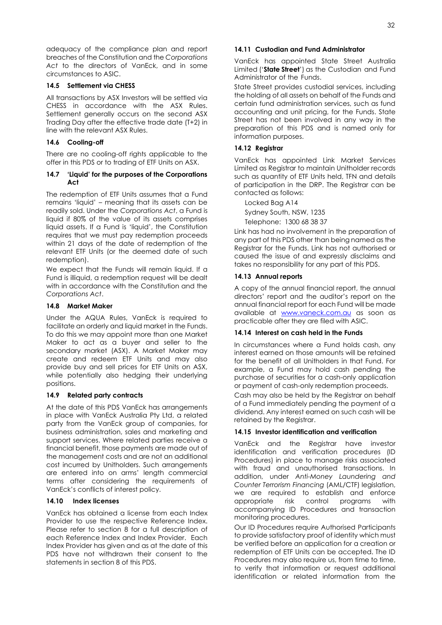adequacy of the compliance plan and report breaches of the Constitution and the *Corporations Act* to the directors of VanEck, and in some circumstances to ASIC.

## **14.5 Settlement via CHESS**

All transactions by ASX Investors will be settled via CHESS in accordance with the ASX Rules. Settlement generally occurs on the second ASX Trading Day after the effective trade date (T+2) in line with the relevant ASX Rules.

# **14.6 Cooling-off**

There are no cooling-off rights applicable to the offer in this PDS or to trading of ETF Units on ASX.

## **14.7 'Liquid' for the purposes of the Corporations Act**

The redemption of ETF Units assumes that a Fund remains 'liquid' – meaning that its assets can be readily sold. Under the *Corporations Act*, a Fund is liquid if 80% of the value of its assets comprises liquid assets. If a Fund is 'liquid', the Constitution requires that we must pay redemption proceeds within 21 days of the date of redemption of the relevant ETF Units (or the deemed date of such redemption).

We expect that the Funds will remain liquid. If a Fund is illiquid, a redemption request will be dealt with in accordance with the Constitution and the *Corporations Act*.

# **14.8 Market Maker**

Under the AQUA Rules, VanEck is required to facilitate an orderly and liquid market in the Funds. To do this we may appoint more than one Market Maker to act as a buyer and seller to the secondary market (ASX). A Market Maker may create and redeem ETF Units and may also provide buy and sell prices for ETF Units on ASX, while potentially also hedging their underlying positions.

# **14.9 Related party contracts**

At the date of this PDS VanEck has arrangements in place with VanEck Australia Pty Ltd, a related party from the VanEck group of companies, for business administration, sales and marketing and support services. Where related parties receive a financial benefit, those payments are made out of the management costs and are not an additional cost incurred by Unitholders. Such arrangements are entered into on arms' length commercial terms after considering the requirements of VanEck's conflicts of interest policy.

# **14.10 Index licenses**

VanEck has obtained a license from each Index Provider to use the respective Reference Index. Please refer to section 8 for a full description of each Reference Index and Index Provider. Each Index Provider has given and as at the date of this PDS have not withdrawn their consent to the statements in section 8 of this PDS.

# **14.11 Custodian and Fund Administrator**

VanEck has appointed State Street Australia Limited ('**State Street**') as the Custodian and Fund Administrator of the Funds.

State Street provides custodial services, including the holding of all assets on behalf of the Funds and certain fund administration services, such as fund accounting and unit pricing, for the Funds. State Street has not been involved in any way in the preparation of this PDS and is named only for information purposes.

# **14.12 Registrar**

VanEck has appointed Link Market Services Limited as Registrar to maintain Unitholder records such as quantity of ETF Units held, TFN and details of participation in the DRP. The Registrar can be contacted as follows:

Locked Bag A14 Sydney South, NSW, 1235 Telephone: 1300 68 38 37

Link has had no involvement in the preparation of any part of this PDS other than being named as the Registrar for the Funds. Link has not authorised or caused the issue of and expressly disclaims and takes no responsibility for any part of this PDS.

# **14.13 Annual reports**

A copy of the annual financial report, the annual directors' report and the auditor's report on the annual financial report for each Fund will be made available at [www.vaneck.com.au](http://www.vaneck.com.au/) as soon as practicable after they are filed with ASIC.

# **14.14 Interest on cash held in the Funds**

In circumstances where a Fund holds cash, any interest earned on those amounts will be retained for the benefit of all Unitholders in that Fund. For example, a Fund may hold cash pending the purchase of securities for a cash-only application or payment of cash-only redemption proceeds.

Cash may also be held by the Registrar on behalf of a Fund immediately pending the payment of a dividend. Any interest earned on such cash will be retained by the Registrar.

# **14.15 Investor identification and verification**

VanEck and the Registrar have investor identification and verification procedures (ID Procedures) in place to manage risks associated with fraud and unauthorised transactions. In addition, under *Anti-Money Laundering and Counter Terrorism Financing* (AML/CTF) legislation, we are required to establish and enforce appropriate risk control programs with accompanying ID Procedures and transaction monitoring procedures.

Our ID Procedures require Authorised Participants to provide satisfactory proof of identity which must be verified before an application for a creation or redemption of ETF Units can be accepted. The ID Procedures may also require us, from time to time, to verify that information or request additional identification or related information from the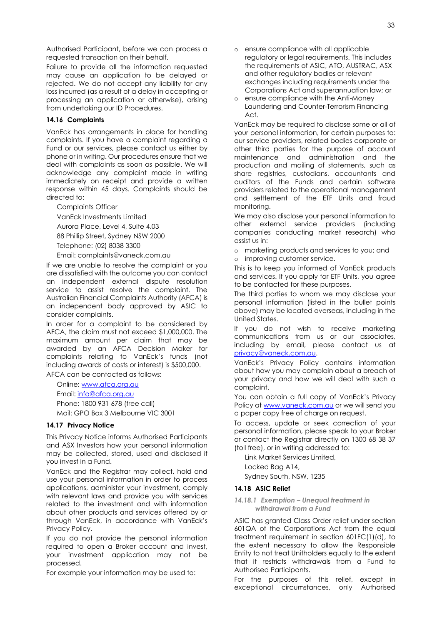Authorised Participant, before we can process a requested transaction on their behalf.

Failure to provide all the information requested may cause an application to be delayed or rejected. We do not accept any liability for any loss incurred (as a result of a delay in accepting or processing an application or otherwise), arising from undertaking our ID Procedures.

## **14.16 Complaints**

VanEck has arrangements in place for handling complaints. If you have a complaint regarding a Fund or our services, please contact us either by phone or in writing. Our procedures ensure that we deal with complaints as soon as possible. We will acknowledge any complaint made in writing immediately on receipt and provide a written response within 45 days. Complaints should be directed to:

Complaints Officer VanEck Investments Limited Aurora Place, Level 4, Suite 4.03 88 Phillip Street, Sydney NSW 2000 Telephone: (02) 8038 3300 Email[: complaints@vaneck.com.au](mailto:complaints@vaneck.com.au)

If we are unable to resolve the complaint or you are dissatisfied with the outcome you can contact an independent external dispute resolution service to assist resolve the complaint. The Australian Financial Complaints Authority (AFCA) is an independent body approved by ASIC to consider complaints.

In order for a complaint to be considered by AFCA, the claim must not exceed \$1,000,000. The maximum amount per claim that may be awarded by an AFCA Decision Maker for complaints relating to VanEck's funds (not including awards of costs or interest) is \$500,000.

AFCA can be contacted as follows:

Online: [www.afca.org.au](http://www.afca.org.au/)

Email[: info@afca.org.au](mailto:info@afca.org.au)

Phone: 1800 931 678 (free call) Mail: GPO Box 3 Melbourne VIC 3001

## **14.17 Privacy Notice**

This Privacy Notice informs Authorised Participants and ASX Investors how your personal information may be collected, stored, used and disclosed if you invest in a Fund.

VanEck and the Registrar may collect, hold and use your personal information in order to process applications, administer your investment, comply with relevant laws and provide you with services related to the investment and with information about other products and services offered by or through VanEck, in accordance with VanEck's Privacy Policy.

If you do not provide the personal information required to open a Broker account and invest, your investment application may not be processed.

For example your information may be used to:

- o ensure compliance with all applicable regulatory or legal requirements. This includes the requirements of ASIC, ATO, AUSTRAC, ASX and other regulatory bodies or relevant exchanges including requirements under the Corporations Act and superannuation law; or
- o ensure compliance with the Anti-Money Laundering and Counter-Terrorism Financing Act.

VanEck may be required to disclose some or all of your personal information, for certain purposes to: our service providers, related bodies corporate or other third parties for the purpose of account maintenance and administration and the production and mailing of statements, such as share registries, custodians, accountants and auditors of the Funds and certain software providers related to the operational management and settlement of the ETF Units and fraud monitoring.

We may also disclose your personal information to other external service providers (including companies conducting market research) who assist us in:

- o marketing products and services to you; and
- o improving customer service.

This is to keep you informed of VanEck products and services. If you apply for ETF Units, you agree to be contacted for these purposes.

The third parties to whom we may disclose your personal information (listed in the bullet points above) may be located overseas, including in the United States.

If you do not wish to receive marketing communications from us or our associates, including by email, please contact us at [privacy@vaneck.com.au.](mailto:privacy@vaneck.com.au) 

VanEck's Privacy Policy contains information about how you may complain about a breach of your privacy and how we will deal with such a complaint.

You can obtain a full copy of VanEck's Privacy Policy at [www.vaneck.com.au](http://www.vaneck.com.au/) or we will send you a paper copy free of charge on request.

To access, update or seek correction of your personal information, please speak to your Broker or contact the Registrar directly on 1300 68 38 37 (toll free), or in writing addressed to:

Link Market Services Limited, Locked Bag A14,

Sydney South, NSW, 1235

# **14.18 ASIC Relief**

## *14.18.1 Exemption – Unequal treatment in withdrawal from a Fund*

ASIC has granted Class Order relief under section 601QA of the Corporations Act from the equal treatment requirement in section 601FC(1)(d), to the extent necessary to allow the Responsible Entity to not treat Unitholders equally to the extent that it restricts withdrawals from a Fund to Authorised Participants.

For the purposes of this relief, except in exceptional circumstances, only Authorised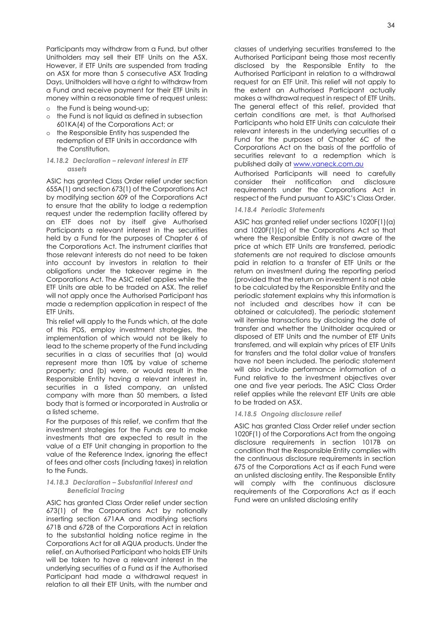Participants may withdraw from a Fund, but other Unitholders may sell their ETF Units on the ASX. However, if ETF Units are suspended from trading on ASX for more than 5 consecutive ASX Trading Days, Unitholders will have a right to withdraw from a Fund and receive payment for their ETF Units in money within a reasonable time of request unless:

- o the Fund is being wound-up;
- o the Fund is not liquid as defined in subsection 601KA(4) of the Corporations Act; or
- the Responsible Entity has suspended the redemption of ETF Units in accordance with the Constitution.
- *14.18.2 Declaration – relevant interest in ETF assets*

ASIC has granted Class Order relief under section 655A(1) and section 673(1) of the Corporations Act by modifying section 609 of the Corporations Act to ensure that the ability to lodge a redemption request under the redemption facility offered by an ETF does not by itself give Authorised Participants a relevant interest in the securities held by a Fund for the purposes of Chapter 6 of the Corporations Act. The instrument clarifies that those relevant interests do not need to be taken into account by investors in relation to their obligations under the takeover regime in the Corporations Act. The ASIC relief applies while the ETF Units are able to be traded on ASX. The relief will not apply once the Authorised Participant has made a redemption application in respect of the ETF Units.

This relief will apply to the Funds which, at the date of this PDS, employ investment strategies, the implementation of which would not be likely to lead to the scheme property of the Fund including securities in a class of securities that (a) would represent more than 10% by value of scheme property; and (b) were, or would result in the Responsible Entity having a relevant interest in, securities in a listed company, an unlisted company with more than 50 members, a listed body that is formed or incorporated in Australia or a listed scheme.

For the purposes of this relief, we confirm that the investment strategies for the Funds are to make investments that are expected to result in the value of a ETF Unit changing in proportion to the value of the Reference Index, ignoring the effect of fees and other costs (including taxes) in relation to the Funds.

## *14.18.3 Declaration – Substantial Interest and Beneficial Tracing*

ASIC has granted Class Order relief under section 673(1) of the Corporations Act by notionally inserting section 671AA and modifying sections 671B and 672B of the Corporations Act in relation to the substantial holding notice regime in the Corporations Act for all AQUA products. Under the relief, an Authorised Participant who holds ETF Units will be taken to have a relevant interest in the underlying securities of a Fund as if the Authorised Participant had made a withdrawal request in relation to all their ETF Units, with the number and

classes of underlying securities transferred to the Authorised Participant being those most recently disclosed by the Responsible Entity to the Authorised Participant in relation to a withdrawal request for an ETF Unit. This relief will not apply to the extent an Authorised Participant actually makes a withdrawal request in respect of ETF Units. The general effect of this relief, provided that certain conditions are met, is that Authorised Participants who hold ETF Units can calculate their relevant interests in the underlying securities of a Fund for the purposes of Chapter 6C of the Corporations Act on the basis of the portfolio of securities relevant to a redemption which is published daily at [www.vaneck.com.au](http://www.vaneck.com.au/)

Authorised Participants will need to carefully consider their notification and disclosure requirements under the Corporations Act in respect of the Fund pursuant to ASIC's Class Order.

# *14.18.4 Periodic Statements*

ASIC has granted relief under sections 1020F(1)(a) and 1020F(1)(c) of the Corporations Act so that where the Responsible Entity is not aware of the price at which ETF Units are transferred, periodic statements are not required to disclose amounts paid in relation to a transfer of ETF Units or the return on investment during the reporting period (provided that the return on investment is not able to be calculated by the Responsible Entity and the periodic statement explains why this information is not included and describes how it can be obtained or calculated). The periodic statement will itemise transactions by disclosing the date of transfer and whether the Unitholder acquired or disposed of ETF Units and the number of ETF Units transferred, and will explain why prices of ETF Units for transfers and the total dollar value of transfers have not been included. The periodic statement will also include performance information of a Fund relative to the investment objectives over one and five year periods. The ASIC Class Order relief applies while the relevant ETF Units are able to be traded on ASX.

## *14.18.5 Ongoing disclosure relief*

ASIC has granted Class Order relief under section 1020F(1) of the Corporations Act from the ongoing disclosure requirements in section 1017B on condition that the Responsible Entity complies with the continuous disclosure requirements in section 675 of the Corporations Act as if each Fund were an unlisted disclosing entity. The Responsible Entity will comply with the continuous disclosure requirements of the Corporations Act as if each Fund were an unlisted disclosing entity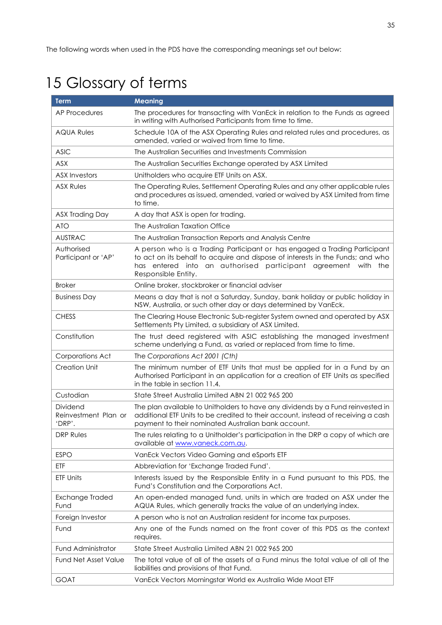# <span id="page-35-0"></span>15 Glossary of terms

| <b>Term</b>                                | <b>Meaning</b>                                                                                                                                                                                                                                          |
|--------------------------------------------|---------------------------------------------------------------------------------------------------------------------------------------------------------------------------------------------------------------------------------------------------------|
| <b>AP Procedures</b>                       | The procedures for transacting with VanEck in relation to the Funds as agreed<br>in writing with Authorised Participants from time to time.                                                                                                             |
| <b>AQUA Rules</b>                          | Schedule 10A of the ASX Operating Rules and related rules and procedures, as<br>amended, varied or waived from time to time.                                                                                                                            |
| <b>ASIC</b>                                | The Australian Securities and Investments Commission                                                                                                                                                                                                    |
| <b>ASX</b>                                 | The Australian Securities Exchange operated by ASX Limited                                                                                                                                                                                              |
| <b>ASX Investors</b>                       | Unitholders who acquire ETF Units on ASX.                                                                                                                                                                                                               |
| <b>ASX Rules</b>                           | The Operating Rules, Settlement Operating Rules and any other applicable rules<br>and procedures as issued, amended, varied or waived by ASX Limited from time<br>to time.                                                                              |
| ASX Trading Day                            | A day that ASX is open for trading.                                                                                                                                                                                                                     |
| <b>ATO</b>                                 | The Australian Taxation Office                                                                                                                                                                                                                          |
| <b>AUSTRAC</b>                             | The Australian Transaction Reports and Analysis Centre                                                                                                                                                                                                  |
| Authorised<br>Participant or 'AP'          | A person who is a Trading Participant or has engaged a Trading Participant<br>to act on its behalf to acquire and dispose of interests in the Funds; and who<br>has entered into an authorised participant agreement<br>with the<br>Responsible Entity. |
| <b>Broker</b>                              | Online broker, stockbroker or financial adviser                                                                                                                                                                                                         |
| <b>Business Day</b>                        | Means a day that is not a Saturday, Sunday, bank holiday or public holiday in<br>NSW, Australia, or such other day or days determined by VanEck.                                                                                                        |
| <b>CHESS</b>                               | The Clearing House Electronic Sub-register System owned and operated by ASX<br>Settlements Pty Limited, a subsidiary of ASX Limited.                                                                                                                    |
| Constitution                               | The trust deed registered with ASIC establishing the managed investment<br>scheme underlying a Fund, as varied or replaced from time to time.                                                                                                           |
| Corporations Act                           | The Corporations Act 2001 (Cth)                                                                                                                                                                                                                         |
| <b>Creation Unit</b>                       | The minimum number of ETF Units that must be applied for in a Fund by an<br>Authorised Participant in an application for a creation of ETF Units as specified<br>in the table in section 11.4.                                                          |
| Custodian                                  | State Street Australia Limited ABN 21 002 965 200                                                                                                                                                                                                       |
| Dividend<br>Reinvestment Plan or<br>'DRP'. | The plan available to Unitholders to have any dividends by a Fund reinvested in<br>additional ETF Units to be credited to their account, instead of receiving a cash<br>payment to their nominated Australian bank account.                             |
| <b>DRP Rules</b>                           | The rules relating to a Unitholder's participation in the DRP a copy of which are<br>available at www.vaneck.com.au.                                                                                                                                    |
| <b>ESPO</b>                                | VanEck Vectors Video Gaming and eSports ETF                                                                                                                                                                                                             |
| <b>ETF</b>                                 | Abbreviation for 'Exchange Traded Fund'.                                                                                                                                                                                                                |
| ETF Units                                  | Interests issued by the Responsible Entity in a Fund pursuant to this PDS, the<br>Fund's Constitution and the Corporations Act.                                                                                                                         |
| Exchange Traded<br>Fund                    | An open-ended managed fund, units in which are traded on ASX under the<br>AQUA Rules, which generally tracks the value of an underlying index.                                                                                                          |
| Foreign Investor                           | A person who is not an Australian resident for income tax purposes.                                                                                                                                                                                     |
| Fund                                       | Any one of the Funds named on the front cover of this PDS as the context<br>requires.                                                                                                                                                                   |
| <b>Fund Administrator</b>                  | State Street Australia Limited ABN 21 002 965 200                                                                                                                                                                                                       |
| <b>Fund Net Asset Value</b>                | The total value of all of the assets of a Fund minus the total value of all of the<br>liabilities and provisions of that Fund.                                                                                                                          |
| <b>GOAT</b>                                | VanEck Vectors Morningstar World ex Australia Wide Moat ETF                                                                                                                                                                                             |